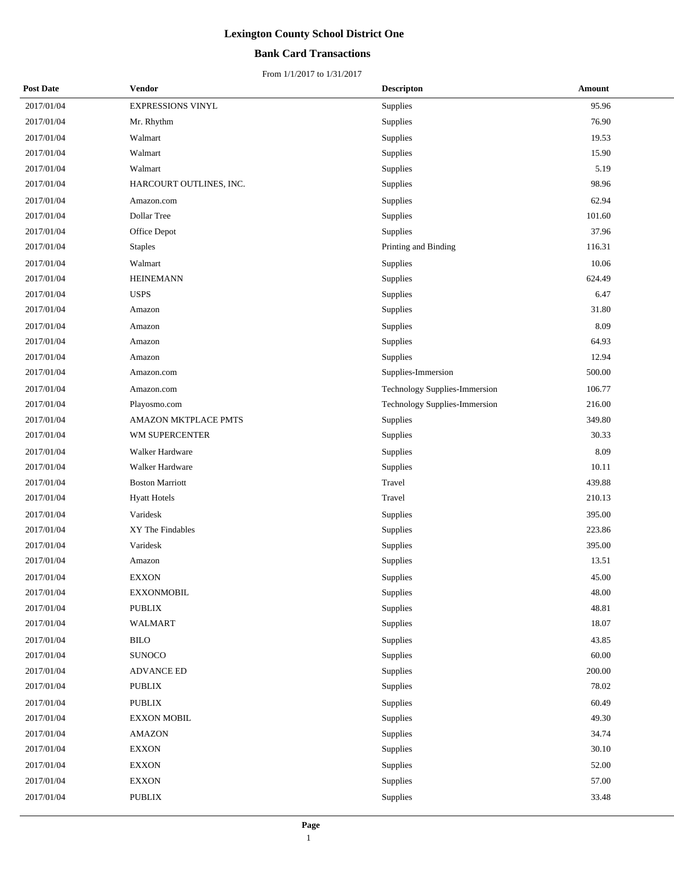## **Bank Card Transactions**

| <b>Post Date</b> | <b>Vendor</b>           | <b>Descripton</b>             | Amount |
|------------------|-------------------------|-------------------------------|--------|
| 2017/01/04       | EXPRESSIONS VINYL       | Supplies                      | 95.96  |
| 2017/01/04       | Mr. Rhythm              | Supplies                      | 76.90  |
| 2017/01/04       | Walmart                 | Supplies                      | 19.53  |
| 2017/01/04       | Walmart                 | Supplies                      | 15.90  |
| 2017/01/04       | Walmart                 | Supplies                      | 5.19   |
| 2017/01/04       | HARCOURT OUTLINES, INC. | Supplies                      | 98.96  |
| 2017/01/04       | Amazon.com              | Supplies                      | 62.94  |
| 2017/01/04       | Dollar Tree             | Supplies                      | 101.60 |
| 2017/01/04       | Office Depot            | Supplies                      | 37.96  |
| 2017/01/04       | <b>Staples</b>          | Printing and Binding          | 116.31 |
| 2017/01/04       | Walmart                 | Supplies                      | 10.06  |
| 2017/01/04       | <b>HEINEMANN</b>        | Supplies                      | 624.49 |
| 2017/01/04       | <b>USPS</b>             | Supplies                      | 6.47   |
| 2017/01/04       | Amazon                  | Supplies                      | 31.80  |
| 2017/01/04       | Amazon                  | Supplies                      | 8.09   |
| 2017/01/04       | Amazon                  | Supplies                      | 64.93  |
| 2017/01/04       | Amazon                  | Supplies                      | 12.94  |
| 2017/01/04       | Amazon.com              | Supplies-Immersion            | 500.00 |
| 2017/01/04       | Amazon.com              | Technology Supplies-Immersion | 106.77 |
| 2017/01/04       | Playosmo.com            | Technology Supplies-Immersion | 216.00 |
| 2017/01/04       | AMAZON MKTPLACE PMTS    | Supplies                      | 349.80 |
| 2017/01/04       | WM SUPERCENTER          | Supplies                      | 30.33  |
| 2017/01/04       | Walker Hardware         | Supplies                      | 8.09   |
| 2017/01/04       | Walker Hardware         | Supplies                      | 10.11  |
| 2017/01/04       | <b>Boston Marriott</b>  | Travel                        | 439.88 |
| 2017/01/04       | <b>Hyatt Hotels</b>     | Travel                        | 210.13 |
| 2017/01/04       | Varidesk                | Supplies                      | 395.00 |
| 2017/01/04       | XY The Findables        | Supplies                      | 223.86 |
| 2017/01/04       | Varidesk                | Supplies                      | 395.00 |
| 2017/01/04       | Amazon                  | Supplies                      | 13.51  |
| 2017/01/04       | <b>EXXON</b>            | Supplies                      | 45.00  |
| 2017/01/04       | <b>EXXONMOBIL</b>       | <b>Supplies</b>               | 48.00  |
| 2017/01/04       | <b>PUBLIX</b>           | Supplies                      | 48.81  |
| 2017/01/04       | WALMART                 | Supplies                      | 18.07  |
| 2017/01/04       | <b>BILO</b>             | Supplies                      | 43.85  |
| 2017/01/04       | <b>SUNOCO</b>           | Supplies                      | 60.00  |
| 2017/01/04       | <b>ADVANCE ED</b>       | Supplies                      | 200.00 |
| 2017/01/04       | <b>PUBLIX</b>           | Supplies                      | 78.02  |
| 2017/01/04       | PUBLIX                  | Supplies                      | 60.49  |
| 2017/01/04       | <b>EXXON MOBIL</b>      | Supplies                      | 49.30  |
| 2017/01/04       | <b>AMAZON</b>           | Supplies                      | 34.74  |
| 2017/01/04       | <b>EXXON</b>            | Supplies                      | 30.10  |
| 2017/01/04       | <b>EXXON</b>            | Supplies                      | 52.00  |
| 2017/01/04       | <b>EXXON</b>            | Supplies                      | 57.00  |
| 2017/01/04       | PUBLIX                  | Supplies                      | 33.48  |
|                  |                         |                               |        |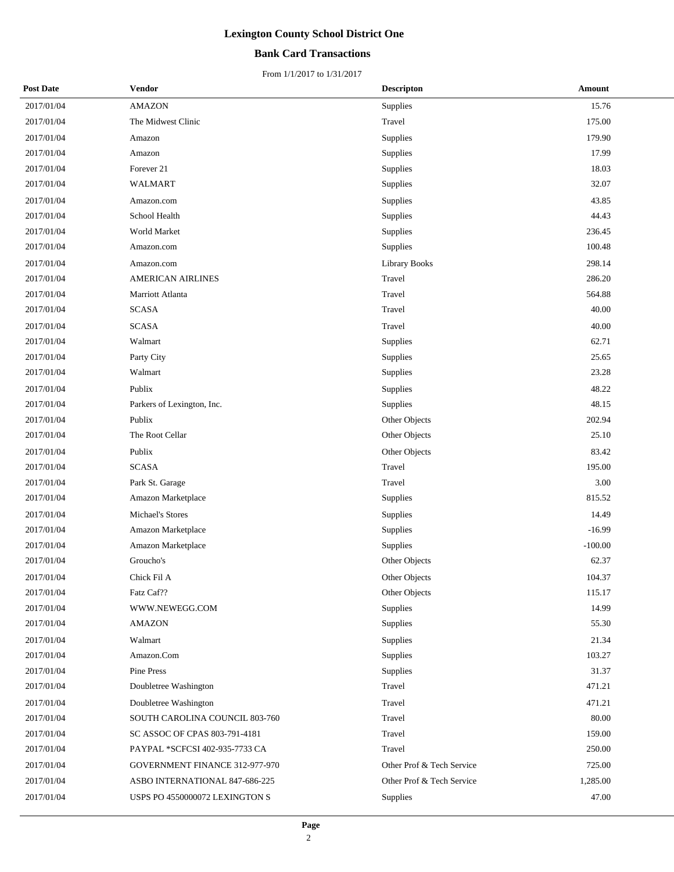## **Bank Card Transactions**

| <b>Post Date</b> | Vendor                         | <b>Descripton</b>         | Amount    |
|------------------|--------------------------------|---------------------------|-----------|
| 2017/01/04       | <b>AMAZON</b>                  | Supplies                  | 15.76     |
| 2017/01/04       | The Midwest Clinic             | Travel                    | 175.00    |
| 2017/01/04       | Amazon                         | Supplies                  | 179.90    |
| 2017/01/04       | Amazon                         | Supplies                  | 17.99     |
| 2017/01/04       | Forever 21                     | Supplies                  | 18.03     |
| 2017/01/04       | WALMART                        | Supplies                  | 32.07     |
| 2017/01/04       | Amazon.com                     | Supplies                  | 43.85     |
| 2017/01/04       | School Health                  | Supplies                  | 44.43     |
| 2017/01/04       | World Market                   | Supplies                  | 236.45    |
| 2017/01/04       | Amazon.com                     | Supplies                  | 100.48    |
| 2017/01/04       | Amazon.com                     | <b>Library Books</b>      | 298.14    |
| 2017/01/04       | AMERICAN AIRLINES              | Travel                    | 286.20    |
| 2017/01/04       | Marriott Atlanta               | Travel                    | 564.88    |
| 2017/01/04       | <b>SCASA</b>                   | Travel                    | 40.00     |
| 2017/01/04       | <b>SCASA</b>                   | Travel                    | 40.00     |
| 2017/01/04       | Walmart                        | Supplies                  | 62.71     |
| 2017/01/04       | Party City                     | Supplies                  | 25.65     |
| 2017/01/04       | Walmart                        | Supplies                  | 23.28     |
| 2017/01/04       | Publix                         | Supplies                  | 48.22     |
| 2017/01/04       | Parkers of Lexington, Inc.     | Supplies                  | 48.15     |
| 2017/01/04       | Publix                         | Other Objects             | 202.94    |
| 2017/01/04       | The Root Cellar                | Other Objects             | 25.10     |
| 2017/01/04       | Publix                         | Other Objects             | 83.42     |
| 2017/01/04       | <b>SCASA</b>                   | Travel                    | 195.00    |
| 2017/01/04       | Park St. Garage                | Travel                    | 3.00      |
| 2017/01/04       | Amazon Marketplace             | Supplies                  | 815.52    |
| 2017/01/04       | Michael's Stores               | Supplies                  | 14.49     |
| 2017/01/04       | Amazon Marketplace             | Supplies                  | $-16.99$  |
| 2017/01/04       | Amazon Marketplace             | Supplies                  | $-100.00$ |
| 2017/01/04       | Groucho's                      | Other Objects             | 62.37     |
| 2017/01/04       | Chick Fil A                    | Other Objects             | 104.37    |
| 2017/01/04       | Fatz Caf??                     | Other Objects             | 115.17    |
| 2017/01/04       | WWW.NEWEGG.COM                 | Supplies                  | 14.99     |
| 2017/01/04       | AMAZON                         | Supplies                  | 55.30     |
| 2017/01/04       | Walmart                        | Supplies                  | 21.34     |
| 2017/01/04       | Amazon.Com                     | Supplies                  | 103.27    |
| 2017/01/04       | Pine Press                     | Supplies                  | 31.37     |
| 2017/01/04       | Doubletree Washington          | Travel                    | 471.21    |
| 2017/01/04       | Doubletree Washington          | Travel                    | 471.21    |
| 2017/01/04       | SOUTH CAROLINA COUNCIL 803-760 | Travel                    | 80.00     |
| 2017/01/04       | SC ASSOC OF CPAS 803-791-4181  | Travel                    | 159.00    |
| 2017/01/04       | PAYPAL *SCFCSI 402-935-7733 CA | Travel                    | 250.00    |
| 2017/01/04       | GOVERNMENT FINANCE 312-977-970 | Other Prof & Tech Service | 725.00    |
| 2017/01/04       | ASBO INTERNATIONAL 847-686-225 | Other Prof & Tech Service | 1,285.00  |
| 2017/01/04       | USPS PO 4550000072 LEXINGTON S | Supplies                  | 47.00     |
|                  |                                |                           |           |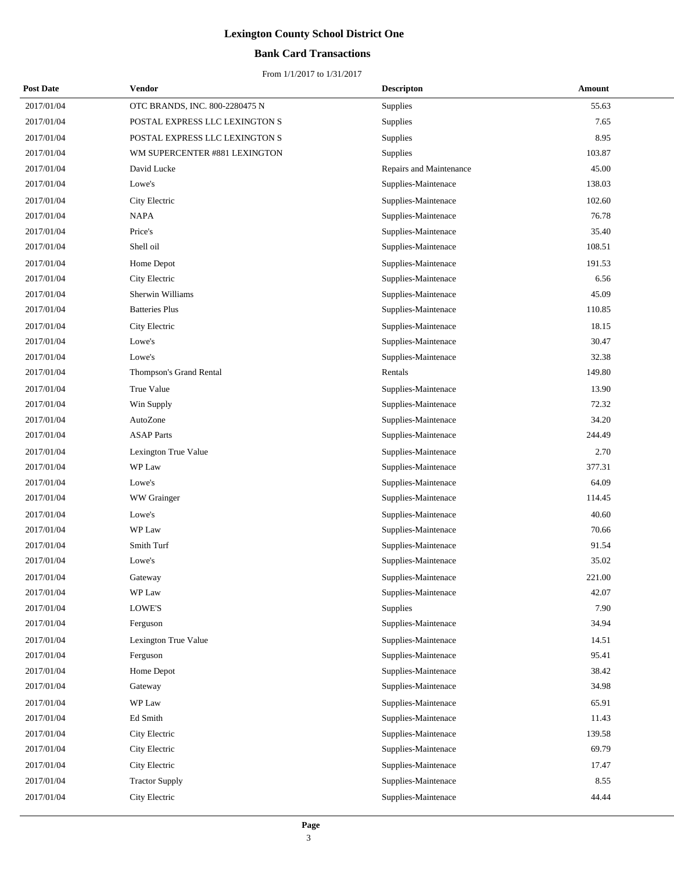## **Bank Card Transactions**

| <b>Post Date</b> | Vendor                         | <b>Descripton</b>       | <b>Amount</b> |
|------------------|--------------------------------|-------------------------|---------------|
| 2017/01/04       | OTC BRANDS, INC. 800-2280475 N | Supplies                | 55.63         |
| 2017/01/04       | POSTAL EXPRESS LLC LEXINGTON S | Supplies                | 7.65          |
| 2017/01/04       | POSTAL EXPRESS LLC LEXINGTON S | Supplies                | 8.95          |
| 2017/01/04       | WM SUPERCENTER #881 LEXINGTON  | Supplies                | 103.87        |
| 2017/01/04       | David Lucke                    | Repairs and Maintenance | 45.00         |
| 2017/01/04       | Lowe's                         | Supplies-Maintenace     | 138.03        |
| 2017/01/04       | City Electric                  | Supplies-Maintenace     | 102.60        |
| 2017/01/04       | <b>NAPA</b>                    | Supplies-Maintenace     | 76.78         |
| 2017/01/04       | Price's                        | Supplies-Maintenace     | 35.40         |
| 2017/01/04       | Shell oil                      | Supplies-Maintenace     | 108.51        |
| 2017/01/04       | Home Depot                     | Supplies-Maintenace     | 191.53        |
| 2017/01/04       | City Electric                  | Supplies-Maintenace     | 6.56          |
| 2017/01/04       | Sherwin Williams               | Supplies-Maintenace     | 45.09         |
| 2017/01/04       | <b>Batteries Plus</b>          | Supplies-Maintenace     | 110.85        |
| 2017/01/04       | City Electric                  | Supplies-Maintenace     | 18.15         |
| 2017/01/04       | Lowe's                         | Supplies-Maintenace     | 30.47         |
| 2017/01/04       | Lowe's                         | Supplies-Maintenace     | 32.38         |
| 2017/01/04       | Thompson's Grand Rental        | Rentals                 | 149.80        |
| 2017/01/04       | True Value                     | Supplies-Maintenace     | 13.90         |
| 2017/01/04       | Win Supply                     | Supplies-Maintenace     | 72.32         |
| 2017/01/04       | AutoZone                       | Supplies-Maintenace     | 34.20         |
| 2017/01/04       | <b>ASAP Parts</b>              | Supplies-Maintenace     | 244.49        |
| 2017/01/04       | Lexington True Value           | Supplies-Maintenace     | 2.70          |
| 2017/01/04       | WP Law                         | Supplies-Maintenace     | 377.31        |
| 2017/01/04       | Lowe's                         | Supplies-Maintenace     | 64.09         |
| 2017/01/04       | WW Grainger                    | Supplies-Maintenace     | 114.45        |
| 2017/01/04       | Lowe's                         | Supplies-Maintenace     | 40.60         |
| 2017/01/04       | WP Law                         | Supplies-Maintenace     | 70.66         |
| 2017/01/04       | Smith Turf                     | Supplies-Maintenace     | 91.54         |
| 2017/01/04       | Lowe's                         | Supplies-Maintenace     | 35.02         |
| 2017/01/04       | Gateway                        | Supplies-Maintenace     | 221.00        |
| 2017/01/04       | WP Law                         | Supplies-Maintenace     | 42.07         |
| 2017/01/04       | LOWE'S                         | Supplies                | 7.90          |
| 2017/01/04       | Ferguson                       | Supplies-Maintenace     | 34.94         |
| 2017/01/04       | Lexington True Value           | Supplies-Maintenace     | 14.51         |
| 2017/01/04       | Ferguson                       | Supplies-Maintenace     | 95.41         |
| 2017/01/04       | Home Depot                     | Supplies-Maintenace     | 38.42         |
| 2017/01/04       | Gateway                        | Supplies-Maintenace     | 34.98         |
| 2017/01/04       | WP Law                         | Supplies-Maintenace     | 65.91         |
| 2017/01/04       | Ed Smith                       | Supplies-Maintenace     | 11.43         |
| 2017/01/04       | City Electric                  | Supplies-Maintenace     | 139.58        |
| 2017/01/04       | City Electric                  | Supplies-Maintenace     | 69.79         |
| 2017/01/04       | City Electric                  | Supplies-Maintenace     | 17.47         |
| 2017/01/04       | <b>Tractor Supply</b>          | Supplies-Maintenace     | 8.55          |
| 2017/01/04       | City Electric                  | Supplies-Maintenace     | 44.44         |
|                  |                                |                         |               |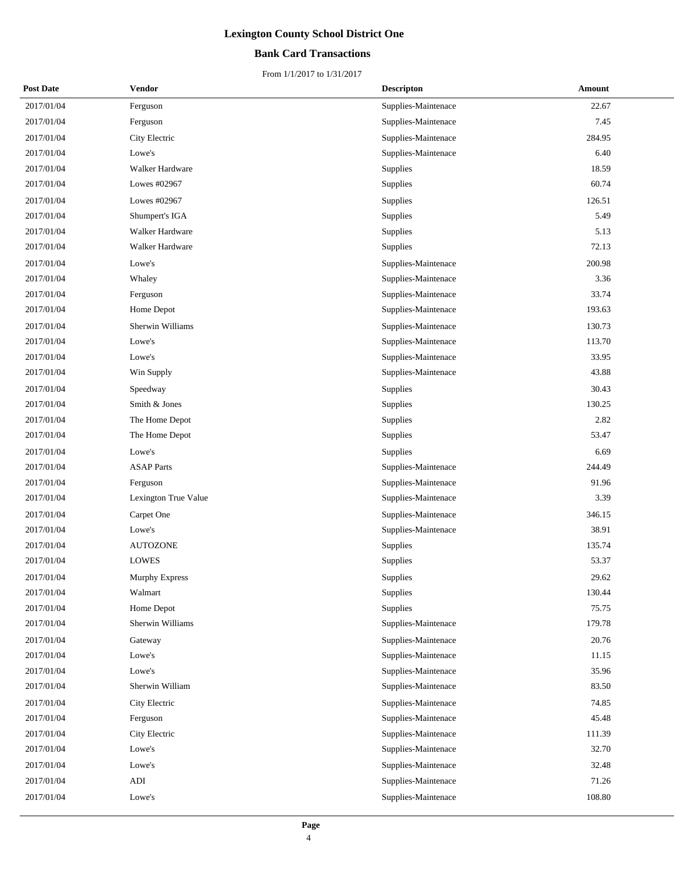## **Bank Card Transactions**

| <b>Post Date</b> | Vendor               | <b>Descripton</b>   | Amount |
|------------------|----------------------|---------------------|--------|
| 2017/01/04       | Ferguson             | Supplies-Maintenace | 22.67  |
| 2017/01/04       | Ferguson             | Supplies-Maintenace | 7.45   |
| 2017/01/04       | City Electric        | Supplies-Maintenace | 284.95 |
| 2017/01/04       | Lowe's               | Supplies-Maintenace | 6.40   |
| 2017/01/04       | Walker Hardware      | Supplies            | 18.59  |
| 2017/01/04       | Lowes #02967         | Supplies            | 60.74  |
| 2017/01/04       | Lowes #02967         | Supplies            | 126.51 |
| 2017/01/04       | Shumpert's IGA       | Supplies            | 5.49   |
| 2017/01/04       | Walker Hardware      | Supplies            | 5.13   |
| 2017/01/04       | Walker Hardware      | Supplies            | 72.13  |
| 2017/01/04       | Lowe's               | Supplies-Maintenace | 200.98 |
| 2017/01/04       | Whaley               | Supplies-Maintenace | 3.36   |
| 2017/01/04       | Ferguson             | Supplies-Maintenace | 33.74  |
| 2017/01/04       | Home Depot           | Supplies-Maintenace | 193.63 |
| 2017/01/04       | Sherwin Williams     | Supplies-Maintenace | 130.73 |
| 2017/01/04       | Lowe's               | Supplies-Maintenace | 113.70 |
| 2017/01/04       | Lowe's               | Supplies-Maintenace | 33.95  |
| 2017/01/04       | Win Supply           | Supplies-Maintenace | 43.88  |
| 2017/01/04       | Speedway             | Supplies            | 30.43  |
| 2017/01/04       | Smith & Jones        | Supplies            | 130.25 |
| 2017/01/04       | The Home Depot       | Supplies            | 2.82   |
| 2017/01/04       | The Home Depot       | Supplies            | 53.47  |
| 2017/01/04       | Lowe's               | Supplies            | 6.69   |
| 2017/01/04       | <b>ASAP</b> Parts    | Supplies-Maintenace | 244.49 |
| 2017/01/04       | Ferguson             | Supplies-Maintenace | 91.96  |
| 2017/01/04       | Lexington True Value | Supplies-Maintenace | 3.39   |
| 2017/01/04       | Carpet One           | Supplies-Maintenace | 346.15 |
| 2017/01/04       | Lowe's               | Supplies-Maintenace | 38.91  |
| 2017/01/04       | <b>AUTOZONE</b>      | Supplies            | 135.74 |
| 2017/01/04       | <b>LOWES</b>         | Supplies            | 53.37  |
| 2017/01/04       | Murphy Express       | Supplies            | 29.62  |
| 2017/01/04       | Walmart              | Supplies            | 130.44 |
| 2017/01/04       | Home Depot           | Supplies            | 75.75  |
| 2017/01/04       | Sherwin Williams     | Supplies-Maintenace | 179.78 |
| 2017/01/04       | Gateway              | Supplies-Maintenace | 20.76  |
| 2017/01/04       | Lowe's               | Supplies-Maintenace | 11.15  |
| 2017/01/04       | Lowe's               | Supplies-Maintenace | 35.96  |
| 2017/01/04       | Sherwin William      | Supplies-Maintenace | 83.50  |
| 2017/01/04       | City Electric        | Supplies-Maintenace | 74.85  |
| 2017/01/04       | Ferguson             | Supplies-Maintenace | 45.48  |
| 2017/01/04       | City Electric        | Supplies-Maintenace | 111.39 |
| 2017/01/04       | Lowe's               | Supplies-Maintenace | 32.70  |
| 2017/01/04       | Lowe's               | Supplies-Maintenace | 32.48  |
| 2017/01/04       | ADI                  | Supplies-Maintenace | 71.26  |
| 2017/01/04       | Lowe's               | Supplies-Maintenace | 108.80 |
|                  |                      |                     |        |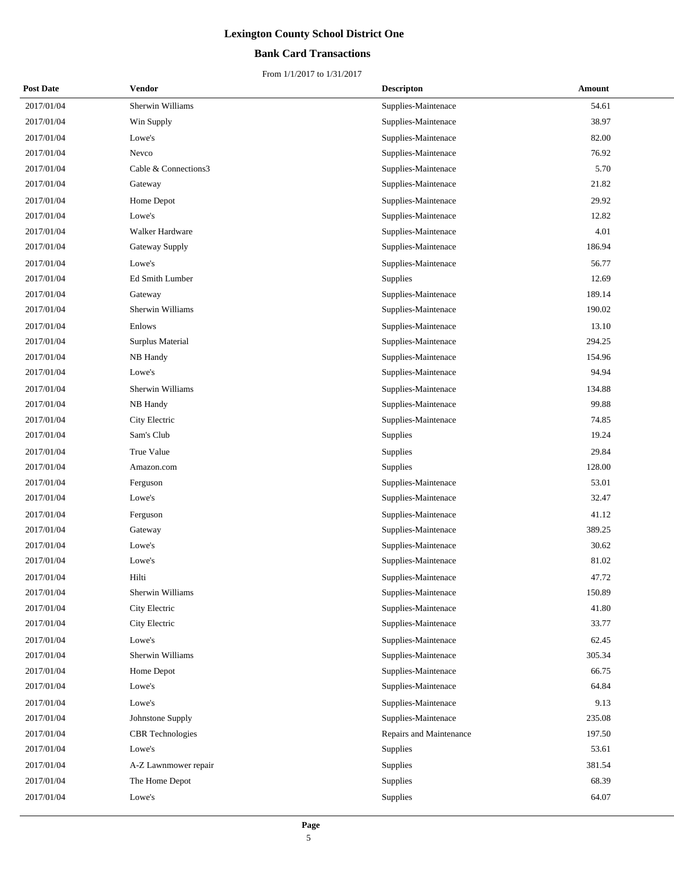## **Bank Card Transactions**

| <b>Post Date</b> | Vendor                  | <b>Descripton</b>       | Amount |
|------------------|-------------------------|-------------------------|--------|
| 2017/01/04       | Sherwin Williams        | Supplies-Maintenace     | 54.61  |
| 2017/01/04       | Win Supply              | Supplies-Maintenace     | 38.97  |
| 2017/01/04       | Lowe's                  | Supplies-Maintenace     | 82.00  |
| 2017/01/04       | Nevco                   | Supplies-Maintenace     | 76.92  |
| 2017/01/04       | Cable & Connections3    | Supplies-Maintenace     | 5.70   |
| 2017/01/04       | Gateway                 | Supplies-Maintenace     | 21.82  |
| 2017/01/04       | Home Depot              | Supplies-Maintenace     | 29.92  |
| 2017/01/04       | Lowe's                  | Supplies-Maintenace     | 12.82  |
| 2017/01/04       | Walker Hardware         | Supplies-Maintenace     | 4.01   |
| 2017/01/04       | Gateway Supply          | Supplies-Maintenace     | 186.94 |
| 2017/01/04       | Lowe's                  | Supplies-Maintenace     | 56.77  |
| 2017/01/04       | Ed Smith Lumber         | <b>Supplies</b>         | 12.69  |
| 2017/01/04       | Gateway                 | Supplies-Maintenace     | 189.14 |
| 2017/01/04       | Sherwin Williams        | Supplies-Maintenace     | 190.02 |
| 2017/01/04       | Enlows                  | Supplies-Maintenace     | 13.10  |
| 2017/01/04       | Surplus Material        | Supplies-Maintenace     | 294.25 |
| 2017/01/04       | NB Handy                | Supplies-Maintenace     | 154.96 |
| 2017/01/04       | Lowe's                  | Supplies-Maintenace     | 94.94  |
| 2017/01/04       | Sherwin Williams        | Supplies-Maintenace     | 134.88 |
| 2017/01/04       | NB Handy                | Supplies-Maintenace     | 99.88  |
| 2017/01/04       | City Electric           | Supplies-Maintenace     | 74.85  |
| 2017/01/04       | Sam's Club              | Supplies                | 19.24  |
| 2017/01/04       | True Value              | Supplies                | 29.84  |
| 2017/01/04       | Amazon.com              | Supplies                | 128.00 |
| 2017/01/04       | Ferguson                | Supplies-Maintenace     | 53.01  |
| 2017/01/04       | Lowe's                  | Supplies-Maintenace     | 32.47  |
| 2017/01/04       | Ferguson                | Supplies-Maintenace     | 41.12  |
| 2017/01/04       | Gateway                 | Supplies-Maintenace     | 389.25 |
| 2017/01/04       | Lowe's                  | Supplies-Maintenace     | 30.62  |
| 2017/01/04       | Lowe's                  | Supplies-Maintenace     | 81.02  |
| 2017/01/04       | Hilti                   | Supplies-Maintenace     | 47.72  |
| 2017/01/04       | Sherwin Williams        | Supplies-Maintenace     | 150.89 |
| 2017/01/04       | City Electric           | Supplies-Maintenace     | 41.80  |
| 2017/01/04       | City Electric           | Supplies-Maintenace     | 33.77  |
| 2017/01/04       | Lowe's                  | Supplies-Maintenace     | 62.45  |
| 2017/01/04       | Sherwin Williams        | Supplies-Maintenace     | 305.34 |
| 2017/01/04       | Home Depot              | Supplies-Maintenace     | 66.75  |
| 2017/01/04       | Lowe's                  | Supplies-Maintenace     | 64.84  |
| 2017/01/04       | Lowe's                  | Supplies-Maintenace     | 9.13   |
| 2017/01/04       | Johnstone Supply        | Supplies-Maintenace     | 235.08 |
| 2017/01/04       | <b>CBR</b> Technologies | Repairs and Maintenance | 197.50 |
| 2017/01/04       | Lowe's                  | Supplies                | 53.61  |
| 2017/01/04       | A-Z Lawnmower repair    | Supplies                | 381.54 |
| 2017/01/04       | The Home Depot          | Supplies                | 68.39  |
| 2017/01/04       | Lowe's                  | Supplies                | 64.07  |
|                  |                         |                         |        |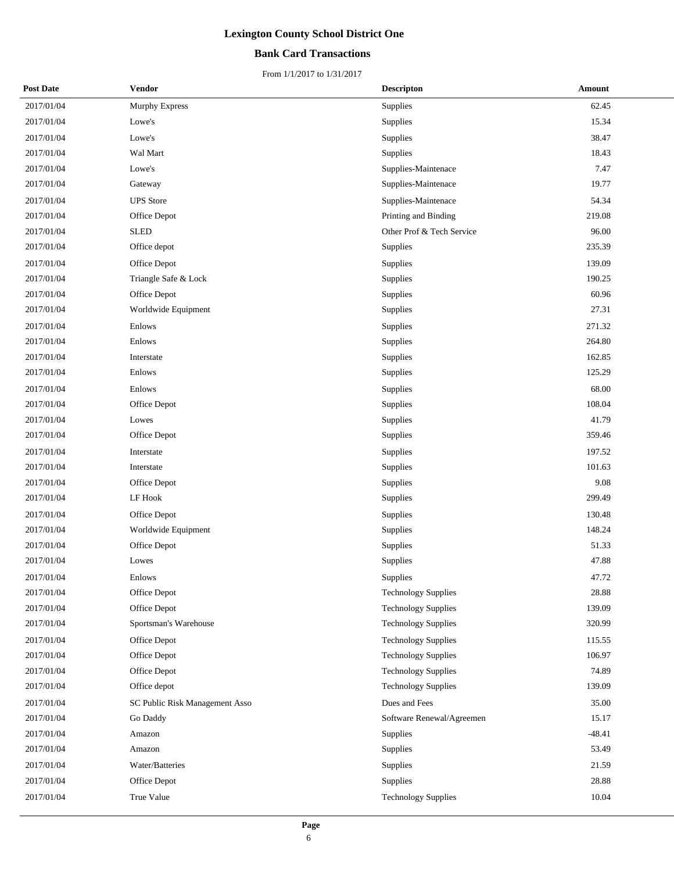## **Bank Card Transactions**

| <b>Post Date</b> | Vendor                         | <b>Descripton</b>          | <b>Amount</b> |
|------------------|--------------------------------|----------------------------|---------------|
| 2017/01/04       | Murphy Express                 | Supplies                   | 62.45         |
| 2017/01/04       | Lowe's                         | Supplies                   | 15.34         |
| 2017/01/04       | Lowe's                         | Supplies                   | 38.47         |
| 2017/01/04       | Wal Mart                       | Supplies                   | 18.43         |
| 2017/01/04       | Lowe's                         | Supplies-Maintenace        | 7.47          |
| 2017/01/04       | Gateway                        | Supplies-Maintenace        | 19.77         |
| 2017/01/04       | <b>UPS</b> Store               | Supplies-Maintenace        | 54.34         |
| 2017/01/04       | Office Depot                   | Printing and Binding       | 219.08        |
| 2017/01/04       | <b>SLED</b>                    | Other Prof & Tech Service  | 96.00         |
| 2017/01/04       | Office depot                   | Supplies                   | 235.39        |
| 2017/01/04       | Office Depot                   | Supplies                   | 139.09        |
| 2017/01/04       | Triangle Safe & Lock           | Supplies                   | 190.25        |
| 2017/01/04       | Office Depot                   | Supplies                   | 60.96         |
| 2017/01/04       | Worldwide Equipment            | Supplies                   | 27.31         |
| 2017/01/04       | Enlows                         | Supplies                   | 271.32        |
| 2017/01/04       | Enlows                         | Supplies                   | 264.80        |
| 2017/01/04       | Interstate                     | Supplies                   | 162.85        |
| 2017/01/04       | Enlows                         | Supplies                   | 125.29        |
| 2017/01/04       | Enlows                         | Supplies                   | 68.00         |
| 2017/01/04       | Office Depot                   | Supplies                   | 108.04        |
| 2017/01/04       | Lowes                          | Supplies                   | 41.79         |
| 2017/01/04       | Office Depot                   | Supplies                   | 359.46        |
| 2017/01/04       | Interstate                     | Supplies                   | 197.52        |
| 2017/01/04       | Interstate                     | Supplies                   | 101.63        |
| 2017/01/04       | Office Depot                   | Supplies                   | 9.08          |
| 2017/01/04       | LF Hook                        | Supplies                   | 299.49        |
| 2017/01/04       | Office Depot                   | Supplies                   | 130.48        |
| 2017/01/04       | Worldwide Equipment            | Supplies                   | 148.24        |
| 2017/01/04       | Office Depot                   | Supplies                   | 51.33         |
| 2017/01/04       | Lowes                          | Supplies                   | 47.88         |
| 2017/01/04       | Enlows                         | Supplies                   | 47.72         |
| 2017/01/04       | Office Depot                   | <b>Technology Supplies</b> | 28.88         |
| 2017/01/04       | Office Depot                   | <b>Technology Supplies</b> | 139.09        |
| 2017/01/04       | Sportsman's Warehouse          | <b>Technology Supplies</b> | 320.99        |
| 2017/01/04       | Office Depot                   | <b>Technology Supplies</b> | 115.55        |
| 2017/01/04       | Office Depot                   | <b>Technology Supplies</b> | 106.97        |
| 2017/01/04       | Office Depot                   | <b>Technology Supplies</b> | 74.89         |
| 2017/01/04       | Office depot                   | <b>Technology Supplies</b> | 139.09        |
| 2017/01/04       | SC Public Risk Management Asso | Dues and Fees              | 35.00         |
| 2017/01/04       | Go Daddy                       | Software Renewal/Agreemen  | 15.17         |
| 2017/01/04       | Amazon                         | Supplies                   | $-48.41$      |
| 2017/01/04       | Amazon                         | Supplies                   | 53.49         |
| 2017/01/04       | Water/Batteries                | Supplies                   | 21.59         |
| 2017/01/04       | Office Depot                   | Supplies                   | 28.88         |
| 2017/01/04       | True Value                     | <b>Technology Supplies</b> | 10.04         |
|                  |                                |                            |               |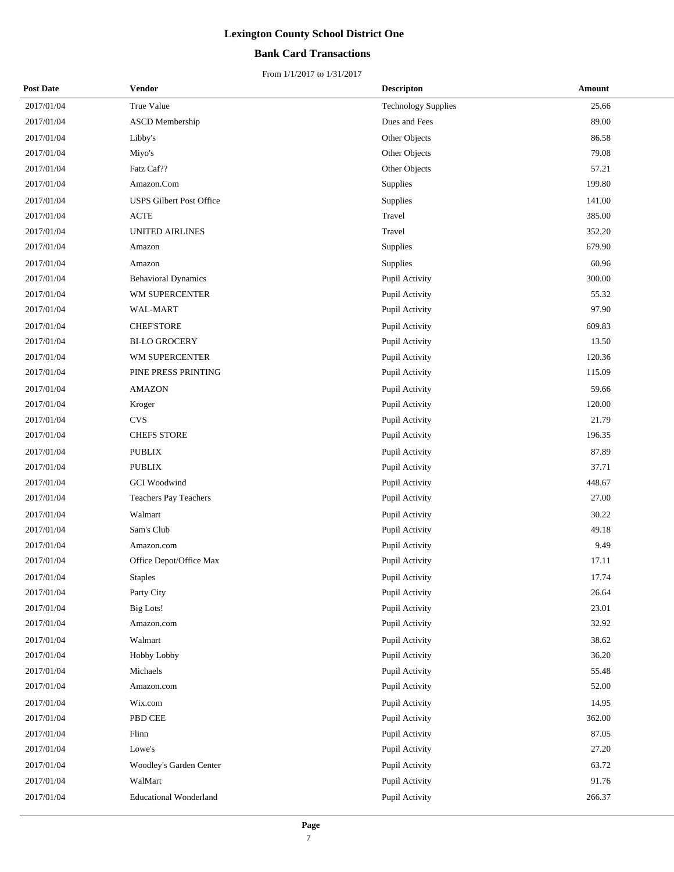## **Bank Card Transactions**

| <b>Post Date</b> | <b>Vendor</b>                   | <b>Descripton</b>          | Amount |
|------------------|---------------------------------|----------------------------|--------|
| 2017/01/04       | True Value                      | <b>Technology Supplies</b> | 25.66  |
| 2017/01/04       | <b>ASCD</b> Membership          | Dues and Fees              | 89.00  |
| 2017/01/04       | Libby's                         | Other Objects              | 86.58  |
| 2017/01/04       | Miyo's                          | Other Objects              | 79.08  |
| 2017/01/04       | Fatz Caf??                      | Other Objects              | 57.21  |
| 2017/01/04       | Amazon.Com                      | Supplies                   | 199.80 |
| 2017/01/04       | <b>USPS Gilbert Post Office</b> | Supplies                   | 141.00 |
| 2017/01/04       | <b>ACTE</b>                     | Travel                     | 385.00 |
| 2017/01/04       | UNITED AIRLINES                 | Travel                     | 352.20 |
| 2017/01/04       | Amazon                          | Supplies                   | 679.90 |
| 2017/01/04       | Amazon                          | Supplies                   | 60.96  |
| 2017/01/04       | <b>Behavioral Dynamics</b>      | Pupil Activity             | 300.00 |
| 2017/01/04       | WM SUPERCENTER                  | Pupil Activity             | 55.32  |
| 2017/01/04       | WAL-MART                        | Pupil Activity             | 97.90  |
| 2017/01/04       | <b>CHEF'STORE</b>               | Pupil Activity             | 609.83 |
| 2017/01/04       | <b>BI-LO GROCERY</b>            | Pupil Activity             | 13.50  |
| 2017/01/04       | WM SUPERCENTER                  | Pupil Activity             | 120.36 |
| 2017/01/04       | PINE PRESS PRINTING             | Pupil Activity             | 115.09 |
| 2017/01/04       | <b>AMAZON</b>                   | Pupil Activity             | 59.66  |
| 2017/01/04       | Kroger                          | Pupil Activity             | 120.00 |
| 2017/01/04       | <b>CVS</b>                      | Pupil Activity             | 21.79  |
| 2017/01/04       | <b>CHEFS STORE</b>              | Pupil Activity             | 196.35 |
| 2017/01/04       | <b>PUBLIX</b>                   | Pupil Activity             | 87.89  |
| 2017/01/04       | <b>PUBLIX</b>                   | Pupil Activity             | 37.71  |
| 2017/01/04       | <b>GCI</b> Woodwind             | Pupil Activity             | 448.67 |
| 2017/01/04       | Teachers Pay Teachers           | Pupil Activity             | 27.00  |
| 2017/01/04       | Walmart                         | Pupil Activity             | 30.22  |
| 2017/01/04       | Sam's Club                      | Pupil Activity             | 49.18  |
| 2017/01/04       | Amazon.com                      | Pupil Activity             | 9.49   |
| 2017/01/04       | Office Depot/Office Max         | Pupil Activity             | 17.11  |
| 2017/01/04       | <b>Staples</b>                  | Pupil Activity             | 17.74  |
| 2017/01/04       | Party City                      | Pupil Activity             | 26.64  |
| 2017/01/04       | Big Lots!                       | Pupil Activity             | 23.01  |
| 2017/01/04       | Amazon.com                      | Pupil Activity             | 32.92  |
| 2017/01/04       | Walmart                         | Pupil Activity             | 38.62  |
| 2017/01/04       | Hobby Lobby                     | Pupil Activity             | 36.20  |
| 2017/01/04       | Michaels                        | Pupil Activity             | 55.48  |
| 2017/01/04       | Amazon.com                      | Pupil Activity             | 52.00  |
| 2017/01/04       | Wix.com                         | Pupil Activity             | 14.95  |
| 2017/01/04       | PBD CEE                         | Pupil Activity             | 362.00 |
| 2017/01/04       | Flinn                           | Pupil Activity             | 87.05  |
| 2017/01/04       | Lowe's                          | Pupil Activity             | 27.20  |
| 2017/01/04       | Woodley's Garden Center         | Pupil Activity             | 63.72  |
| 2017/01/04       | WalMart                         | Pupil Activity             | 91.76  |
| 2017/01/04       | <b>Educational Wonderland</b>   | Pupil Activity             | 266.37 |
|                  |                                 |                            |        |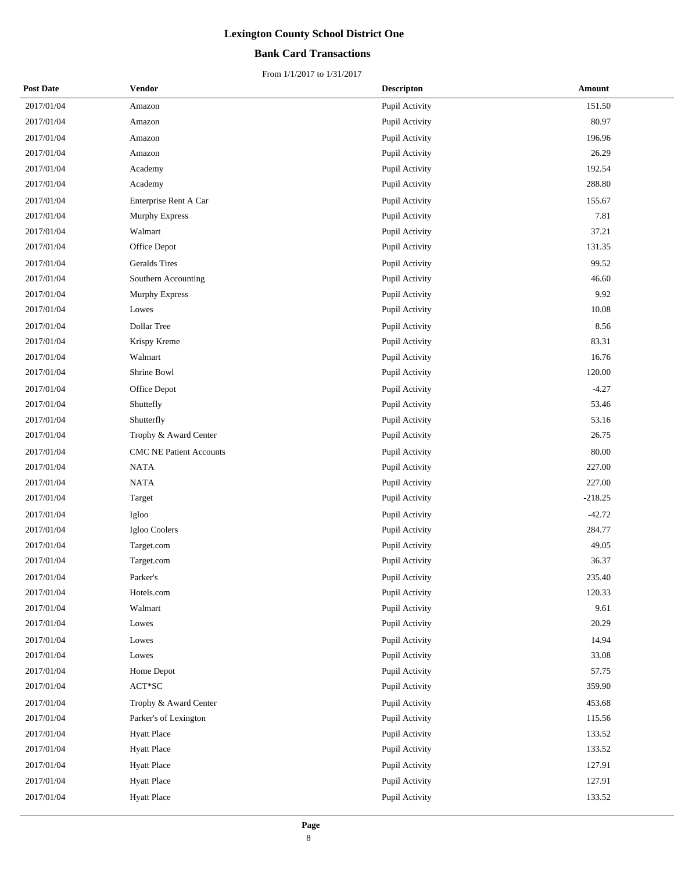## **Bank Card Transactions**

| <b>Post Date</b> | Vendor                         | <b>Descripton</b> | Amount    |
|------------------|--------------------------------|-------------------|-----------|
| 2017/01/04       | Amazon                         | Pupil Activity    | 151.50    |
| 2017/01/04       | Amazon                         | Pupil Activity    | 80.97     |
| 2017/01/04       | Amazon                         | Pupil Activity    | 196.96    |
| 2017/01/04       | Amazon                         | Pupil Activity    | 26.29     |
| 2017/01/04       | Academy                        | Pupil Activity    | 192.54    |
| 2017/01/04       | Academy                        | Pupil Activity    | 288.80    |
| 2017/01/04       | Enterprise Rent A Car          | Pupil Activity    | 155.67    |
| 2017/01/04       | Murphy Express                 | Pupil Activity    | 7.81      |
| 2017/01/04       | Walmart                        | Pupil Activity    | 37.21     |
| 2017/01/04       | Office Depot                   | Pupil Activity    | 131.35    |
| 2017/01/04       | <b>Geralds</b> Tires           | Pupil Activity    | 99.52     |
| 2017/01/04       | Southern Accounting            | Pupil Activity    | 46.60     |
| 2017/01/04       | Murphy Express                 | Pupil Activity    | 9.92      |
| 2017/01/04       | Lowes                          | Pupil Activity    | 10.08     |
| 2017/01/04       | Dollar Tree                    | Pupil Activity    | 8.56      |
| 2017/01/04       | Krispy Kreme                   | Pupil Activity    | 83.31     |
| 2017/01/04       | Walmart                        | Pupil Activity    | 16.76     |
| 2017/01/04       | Shrine Bowl                    | Pupil Activity    | 120.00    |
| 2017/01/04       | Office Depot                   | Pupil Activity    | $-4.27$   |
| 2017/01/04       | Shuttefly                      | Pupil Activity    | 53.46     |
| 2017/01/04       | Shutterfly                     | Pupil Activity    | 53.16     |
| 2017/01/04       | Trophy & Award Center          | Pupil Activity    | 26.75     |
| 2017/01/04       | <b>CMC NE Patient Accounts</b> | Pupil Activity    | 80.00     |
| 2017/01/04       | <b>NATA</b>                    | Pupil Activity    | 227.00    |
| 2017/01/04       | <b>NATA</b>                    | Pupil Activity    | 227.00    |
| 2017/01/04       | Target                         | Pupil Activity    | $-218.25$ |
| 2017/01/04       | Igloo                          | Pupil Activity    | $-42.72$  |
| 2017/01/04       | Igloo Coolers                  | Pupil Activity    | 284.77    |
| 2017/01/04       | Target.com                     | Pupil Activity    | 49.05     |
| 2017/01/04       | Target.com                     | Pupil Activity    | 36.37     |
| 2017/01/04       | Parker's                       | Pupil Activity    | 235.40    |
| 2017/01/04       | Hotels.com                     | Pupil Activity    | 120.33    |
| 2017/01/04       | Walmart                        | Pupil Activity    | 9.61      |
| 2017/01/04       | Lowes                          | Pupil Activity    | 20.29     |
| 2017/01/04       | Lowes                          | Pupil Activity    | 14.94     |
| 2017/01/04       | Lowes                          | Pupil Activity    | 33.08     |
| 2017/01/04       | Home Depot                     | Pupil Activity    | 57.75     |
| 2017/01/04       | $ACT*SC$                       | Pupil Activity    | 359.90    |
| 2017/01/04       | Trophy & Award Center          | Pupil Activity    | 453.68    |
| 2017/01/04       | Parker's of Lexington          | Pupil Activity    | 115.56    |
| 2017/01/04       | <b>Hyatt Place</b>             | Pupil Activity    | 133.52    |
| 2017/01/04       | <b>Hyatt Place</b>             | Pupil Activity    | 133.52    |
| 2017/01/04       | <b>Hyatt Place</b>             | Pupil Activity    | 127.91    |
| 2017/01/04       | <b>Hyatt Place</b>             | Pupil Activity    | 127.91    |
| 2017/01/04       | <b>Hyatt Place</b>             | Pupil Activity    | 133.52    |
|                  |                                |                   |           |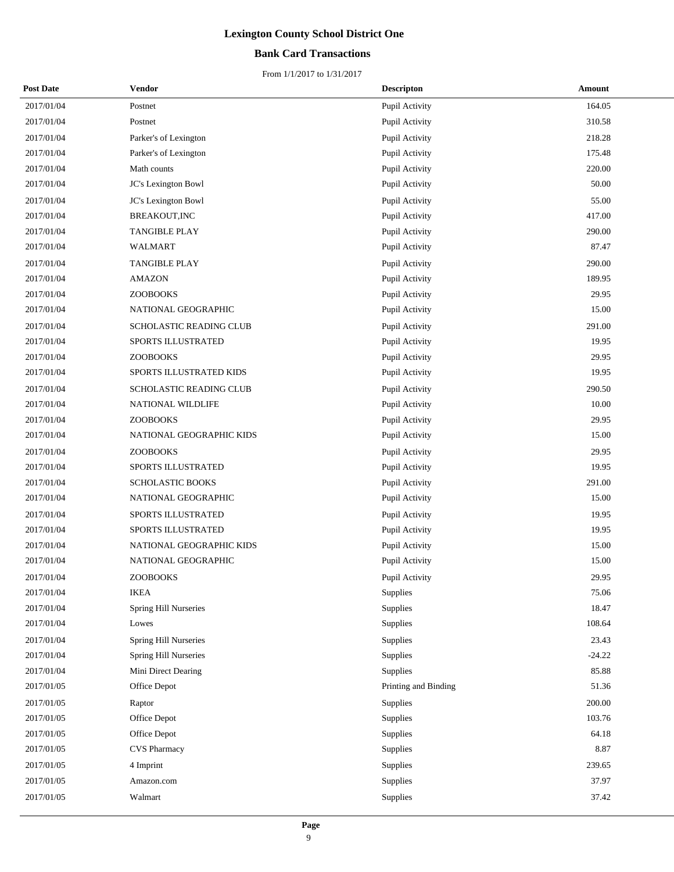## **Bank Card Transactions**

| <b>Post Date</b> | <b>Vendor</b>            | <b>Descripton</b>    | Amount   |
|------------------|--------------------------|----------------------|----------|
| 2017/01/04       | Postnet                  | Pupil Activity       | 164.05   |
| 2017/01/04       | Postnet                  | Pupil Activity       | 310.58   |
| 2017/01/04       | Parker's of Lexington    | Pupil Activity       | 218.28   |
| 2017/01/04       | Parker's of Lexington    | Pupil Activity       | 175.48   |
| 2017/01/04       | Math counts              | Pupil Activity       | 220.00   |
| 2017/01/04       | JC's Lexington Bowl      | Pupil Activity       | 50.00    |
| 2017/01/04       | JC's Lexington Bowl      | Pupil Activity       | 55.00    |
| 2017/01/04       | BREAKOUT, INC            | Pupil Activity       | 417.00   |
| 2017/01/04       | TANGIBLE PLAY            | Pupil Activity       | 290.00   |
| 2017/01/04       | WALMART                  | Pupil Activity       | 87.47    |
| 2017/01/04       | <b>TANGIBLE PLAY</b>     | Pupil Activity       | 290.00   |
| 2017/01/04       | <b>AMAZON</b>            | Pupil Activity       | 189.95   |
| 2017/01/04       | <b>ZOOBOOKS</b>          | Pupil Activity       | 29.95    |
| 2017/01/04       | NATIONAL GEOGRAPHIC      | Pupil Activity       | 15.00    |
| 2017/01/04       | SCHOLASTIC READING CLUB  | Pupil Activity       | 291.00   |
| 2017/01/04       | SPORTS ILLUSTRATED       | Pupil Activity       | 19.95    |
| 2017/01/04       | <b>ZOOBOOKS</b>          | Pupil Activity       | 29.95    |
| 2017/01/04       | SPORTS ILLUSTRATED KIDS  | Pupil Activity       | 19.95    |
| 2017/01/04       | SCHOLASTIC READING CLUB  | Pupil Activity       | 290.50   |
| 2017/01/04       | NATIONAL WILDLIFE        | Pupil Activity       | 10.00    |
| 2017/01/04       | <b>ZOOBOOKS</b>          | Pupil Activity       | 29.95    |
| 2017/01/04       | NATIONAL GEOGRAPHIC KIDS | Pupil Activity       | 15.00    |
| 2017/01/04       | <b>ZOOBOOKS</b>          | Pupil Activity       | 29.95    |
| 2017/01/04       | SPORTS ILLUSTRATED       | Pupil Activity       | 19.95    |
| 2017/01/04       | SCHOLASTIC BOOKS         | Pupil Activity       | 291.00   |
| 2017/01/04       | NATIONAL GEOGRAPHIC      | Pupil Activity       | 15.00    |
| 2017/01/04       | SPORTS ILLUSTRATED       | Pupil Activity       | 19.95    |
| 2017/01/04       | SPORTS ILLUSTRATED       | Pupil Activity       | 19.95    |
| 2017/01/04       | NATIONAL GEOGRAPHIC KIDS | Pupil Activity       | 15.00    |
| 2017/01/04       | NATIONAL GEOGRAPHIC      | Pupil Activity       | 15.00    |
| 2017/01/04       | ZOOBOOKS                 | Pupil Activity       | 29.95    |
| 2017/01/04       | <b>IKEA</b>              | Supplies             | 75.06    |
| 2017/01/04       | Spring Hill Nurseries    | Supplies             | 18.47    |
| 2017/01/04       | Lowes                    | Supplies             | 108.64   |
| 2017/01/04       | Spring Hill Nurseries    | Supplies             | 23.43    |
| 2017/01/04       | Spring Hill Nurseries    | Supplies             | $-24.22$ |
| 2017/01/04       | Mini Direct Dearing      | Supplies             | 85.88    |
| 2017/01/05       | Office Depot             | Printing and Binding | 51.36    |
| 2017/01/05       | Raptor                   | Supplies             | 200.00   |
| 2017/01/05       | Office Depot             | Supplies             | 103.76   |
| 2017/01/05       | Office Depot             | Supplies             | 64.18    |
| 2017/01/05       | <b>CVS Pharmacy</b>      | Supplies             | 8.87     |
| 2017/01/05       | 4 Imprint                | Supplies             | 239.65   |
| 2017/01/05       | Amazon.com               | Supplies             | 37.97    |
| 2017/01/05       | Walmart                  | Supplies             | 37.42    |
|                  |                          |                      |          |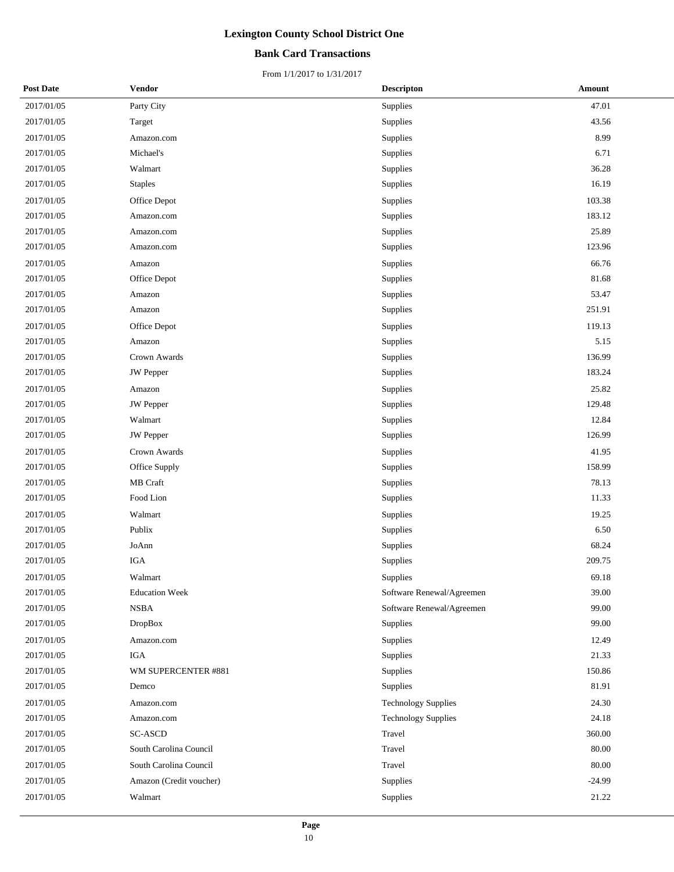## **Bank Card Transactions**

| <b>Post Date</b> | Vendor                  | <b>Descripton</b>          | <b>Amount</b> |
|------------------|-------------------------|----------------------------|---------------|
| 2017/01/05       | Party City              | Supplies                   | 47.01         |
| 2017/01/05       | Target                  | Supplies                   | 43.56         |
| 2017/01/05       | Amazon.com              | Supplies                   | 8.99          |
| 2017/01/05       | Michael's               | Supplies                   | 6.71          |
| 2017/01/05       | Walmart                 | Supplies                   | 36.28         |
| 2017/01/05       | <b>Staples</b>          | Supplies                   | 16.19         |
| 2017/01/05       | Office Depot            | Supplies                   | 103.38        |
| 2017/01/05       | Amazon.com              | Supplies                   | 183.12        |
| 2017/01/05       | Amazon.com              | Supplies                   | 25.89         |
| 2017/01/05       | Amazon.com              | Supplies                   | 123.96        |
| 2017/01/05       | Amazon                  | Supplies                   | 66.76         |
| 2017/01/05       | Office Depot            | Supplies                   | 81.68         |
| 2017/01/05       | Amazon                  | Supplies                   | 53.47         |
| 2017/01/05       | Amazon                  | Supplies                   | 251.91        |
| 2017/01/05       | Office Depot            | Supplies                   | 119.13        |
| 2017/01/05       | Amazon                  | Supplies                   | 5.15          |
| 2017/01/05       | Crown Awards            | Supplies                   | 136.99        |
| 2017/01/05       | <b>JW</b> Pepper        | Supplies                   | 183.24        |
| 2017/01/05       | Amazon                  | Supplies                   | 25.82         |
| 2017/01/05       | <b>JW</b> Pepper        | Supplies                   | 129.48        |
| 2017/01/05       | Walmart                 | Supplies                   | 12.84         |
| 2017/01/05       | <b>JW</b> Pepper        | Supplies                   | 126.99        |
| 2017/01/05       | Crown Awards            | Supplies                   | 41.95         |
| 2017/01/05       | Office Supply           | Supplies                   | 158.99        |
| 2017/01/05       | MB Craft                | Supplies                   | 78.13         |
| 2017/01/05       | Food Lion               | Supplies                   | 11.33         |
| 2017/01/05       | Walmart                 | Supplies                   | 19.25         |
| 2017/01/05       | Publix                  | Supplies                   | 6.50          |
| 2017/01/05       | JoAnn                   | Supplies                   | 68.24         |
| 2017/01/05       | IGA                     | Supplies                   | 209.75        |
| 2017/01/05       | Walmart                 | Supplies                   | 69.18         |
| 2017/01/05       | <b>Education Week</b>   | Software Renewal/Agreemen  | 39.00         |
| 2017/01/05       | <b>NSBA</b>             | Software Renewal/Agreemen  | 99.00         |
| 2017/01/05       | <b>DropBox</b>          | Supplies                   | 99.00         |
| 2017/01/05       | Amazon.com              | Supplies                   | 12.49         |
| 2017/01/05       | IGA                     | Supplies                   | 21.33         |
| 2017/01/05       | WM SUPERCENTER #881     | Supplies                   | 150.86        |
| 2017/01/05       | Demco                   | Supplies                   | 81.91         |
| 2017/01/05       | Amazon.com              | <b>Technology Supplies</b> | 24.30         |
| 2017/01/05       | Amazon.com              | <b>Technology Supplies</b> | 24.18         |
| 2017/01/05       | <b>SC-ASCD</b>          | Travel                     | 360.00        |
| 2017/01/05       | South Carolina Council  | Travel                     | 80.00         |
| 2017/01/05       | South Carolina Council  | Travel                     | 80.00         |
| 2017/01/05       | Amazon (Credit voucher) | Supplies                   | $-24.99$      |
| 2017/01/05       | Walmart                 | Supplies                   | 21.22         |
|                  |                         |                            |               |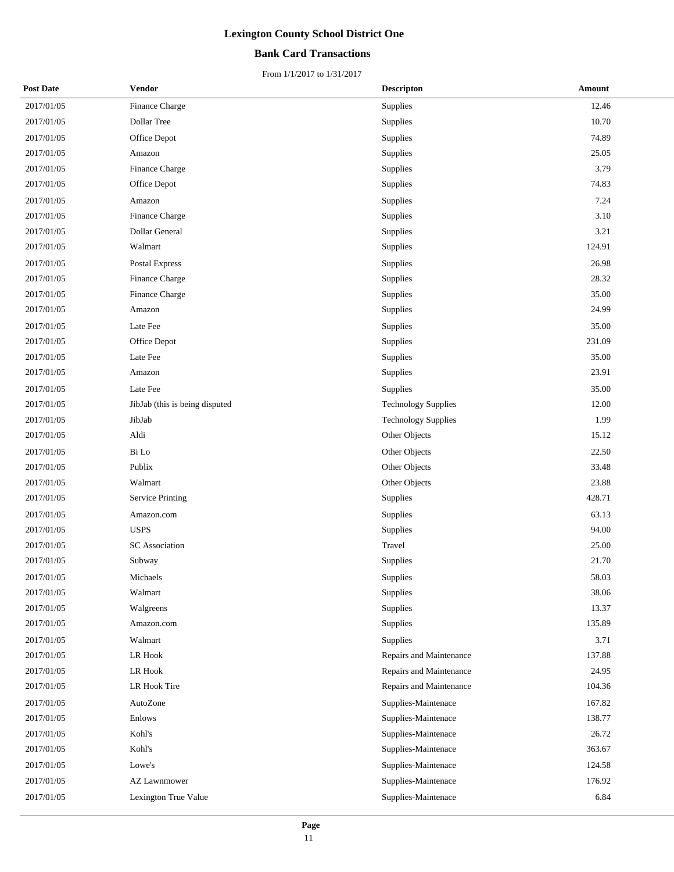## **Bank Card Transactions**

| 2017/01/05<br>Finance Charge<br>12.46<br>Supplies<br>10.70<br>2017/01/05<br>Dollar Tree<br>Supplies<br>74.89<br>2017/01/05<br>Office Depot<br>Supplies<br>2017/01/05<br>Supplies<br>25.05<br>Amazon<br>3.79<br>2017/01/05<br>Finance Charge<br>Supplies<br>74.83<br>2017/01/05<br>Office Depot<br>Supplies<br>7.24<br>2017/01/05<br>Supplies<br>Amazon<br>2017/01/05<br>Finance Charge<br>Supplies<br>3.10<br>3.21<br>2017/01/05<br><b>Dollar General</b><br>Supplies<br>Walmart<br>124.91<br>2017/01/05<br>Supplies<br>2017/01/05<br>26.98<br>Postal Express<br>Supplies<br>28.32<br>2017/01/05<br>Finance Charge<br>Supplies<br>Finance Charge<br>35.00<br>2017/01/05<br>Supplies<br>24.99<br>2017/01/05<br>Supplies<br>Amazon<br>Late Fee<br>35.00<br>2017/01/05<br>Supplies<br>2017/01/05<br>Supplies<br>231.09<br>Office Depot<br>2017/01/05<br>Late Fee<br>Supplies<br>35.00<br>Supplies<br>23.91<br>2017/01/05<br>Amazon<br>Late Fee<br>35.00<br>2017/01/05<br>Supplies<br>2017/01/05<br>12.00<br><b>Technology Supplies</b><br>JibJab (this is being disputed<br>1.99<br>2017/01/05<br>JibJab<br><b>Technology Supplies</b><br>Aldi<br>Other Objects<br>15.12<br>2017/01/05<br>2017/01/05<br>Bi Lo<br>Other Objects<br>22.50<br>2017/01/05<br>Publix<br>Other Objects<br>33.48<br>2017/01/05<br>Other Objects<br>23.88<br>Walmart<br>428.71<br>2017/01/05<br>Supplies<br><b>Service Printing</b><br>2017/01/05<br>63.13<br>Supplies<br>Amazon.com<br>2017/01/05<br><b>USPS</b><br>Supplies<br>94.00<br>2017/01/05<br><b>SC</b> Association<br>Travel<br>25.00<br>Supplies<br>21.70<br>2017/01/05<br>Subway<br>58.03<br>2017/01/05<br>Michaels<br>Supplies<br>38.06<br>2017/01/05<br>Walmart<br>Supplies<br>Supplies<br>2017/01/05<br>Walgreens<br>13.37<br>Supplies<br>135.89<br>2017/01/05<br>Amazon.com<br>2017/01/05<br>Walmart<br>Supplies<br>3.71<br>137.88<br>2017/01/05<br>LR Hook<br>Repairs and Maintenance<br>24.95<br>2017/01/05<br>LR Hook<br>Repairs and Maintenance<br>104.36<br>2017/01/05<br>LR Hook Tire<br>Repairs and Maintenance<br>2017/01/05<br>AutoZone<br>Supplies-Maintenace<br>167.82<br>2017/01/05<br>Enlows<br>Supplies-Maintenace<br>138.77<br>2017/01/05<br>Kohl's<br>Supplies-Maintenace<br>26.72<br>363.67<br>Kohl's<br>Supplies-Maintenace<br>2017/01/05<br>Lowe's<br>Supplies-Maintenace<br>124.58<br>2017/01/05<br>2017/01/05<br>Supplies-Maintenace<br>176.92<br><b>AZ Lawnmower</b><br>6.84<br>2017/01/05<br>Lexington True Value<br>Supplies-Maintenace | <b>Post Date</b> | Vendor | <b>Descripton</b> | Amount |
|-------------------------------------------------------------------------------------------------------------------------------------------------------------------------------------------------------------------------------------------------------------------------------------------------------------------------------------------------------------------------------------------------------------------------------------------------------------------------------------------------------------------------------------------------------------------------------------------------------------------------------------------------------------------------------------------------------------------------------------------------------------------------------------------------------------------------------------------------------------------------------------------------------------------------------------------------------------------------------------------------------------------------------------------------------------------------------------------------------------------------------------------------------------------------------------------------------------------------------------------------------------------------------------------------------------------------------------------------------------------------------------------------------------------------------------------------------------------------------------------------------------------------------------------------------------------------------------------------------------------------------------------------------------------------------------------------------------------------------------------------------------------------------------------------------------------------------------------------------------------------------------------------------------------------------------------------------------------------------------------------------------------------------------------------------------------------------------------------------------------------------------------------------------------------------------------------------------------------------------------------------------------------------------------------------------------------------------------------------------------------------------------------------------------------------------------------------------------------------------------------------|------------------|--------|-------------------|--------|
|                                                                                                                                                                                                                                                                                                                                                                                                                                                                                                                                                                                                                                                                                                                                                                                                                                                                                                                                                                                                                                                                                                                                                                                                                                                                                                                                                                                                                                                                                                                                                                                                                                                                                                                                                                                                                                                                                                                                                                                                                                                                                                                                                                                                                                                                                                                                                                                                                                                                                                       |                  |        |                   |        |
|                                                                                                                                                                                                                                                                                                                                                                                                                                                                                                                                                                                                                                                                                                                                                                                                                                                                                                                                                                                                                                                                                                                                                                                                                                                                                                                                                                                                                                                                                                                                                                                                                                                                                                                                                                                                                                                                                                                                                                                                                                                                                                                                                                                                                                                                                                                                                                                                                                                                                                       |                  |        |                   |        |
|                                                                                                                                                                                                                                                                                                                                                                                                                                                                                                                                                                                                                                                                                                                                                                                                                                                                                                                                                                                                                                                                                                                                                                                                                                                                                                                                                                                                                                                                                                                                                                                                                                                                                                                                                                                                                                                                                                                                                                                                                                                                                                                                                                                                                                                                                                                                                                                                                                                                                                       |                  |        |                   |        |
|                                                                                                                                                                                                                                                                                                                                                                                                                                                                                                                                                                                                                                                                                                                                                                                                                                                                                                                                                                                                                                                                                                                                                                                                                                                                                                                                                                                                                                                                                                                                                                                                                                                                                                                                                                                                                                                                                                                                                                                                                                                                                                                                                                                                                                                                                                                                                                                                                                                                                                       |                  |        |                   |        |
|                                                                                                                                                                                                                                                                                                                                                                                                                                                                                                                                                                                                                                                                                                                                                                                                                                                                                                                                                                                                                                                                                                                                                                                                                                                                                                                                                                                                                                                                                                                                                                                                                                                                                                                                                                                                                                                                                                                                                                                                                                                                                                                                                                                                                                                                                                                                                                                                                                                                                                       |                  |        |                   |        |
|                                                                                                                                                                                                                                                                                                                                                                                                                                                                                                                                                                                                                                                                                                                                                                                                                                                                                                                                                                                                                                                                                                                                                                                                                                                                                                                                                                                                                                                                                                                                                                                                                                                                                                                                                                                                                                                                                                                                                                                                                                                                                                                                                                                                                                                                                                                                                                                                                                                                                                       |                  |        |                   |        |
|                                                                                                                                                                                                                                                                                                                                                                                                                                                                                                                                                                                                                                                                                                                                                                                                                                                                                                                                                                                                                                                                                                                                                                                                                                                                                                                                                                                                                                                                                                                                                                                                                                                                                                                                                                                                                                                                                                                                                                                                                                                                                                                                                                                                                                                                                                                                                                                                                                                                                                       |                  |        |                   |        |
|                                                                                                                                                                                                                                                                                                                                                                                                                                                                                                                                                                                                                                                                                                                                                                                                                                                                                                                                                                                                                                                                                                                                                                                                                                                                                                                                                                                                                                                                                                                                                                                                                                                                                                                                                                                                                                                                                                                                                                                                                                                                                                                                                                                                                                                                                                                                                                                                                                                                                                       |                  |        |                   |        |
|                                                                                                                                                                                                                                                                                                                                                                                                                                                                                                                                                                                                                                                                                                                                                                                                                                                                                                                                                                                                                                                                                                                                                                                                                                                                                                                                                                                                                                                                                                                                                                                                                                                                                                                                                                                                                                                                                                                                                                                                                                                                                                                                                                                                                                                                                                                                                                                                                                                                                                       |                  |        |                   |        |
|                                                                                                                                                                                                                                                                                                                                                                                                                                                                                                                                                                                                                                                                                                                                                                                                                                                                                                                                                                                                                                                                                                                                                                                                                                                                                                                                                                                                                                                                                                                                                                                                                                                                                                                                                                                                                                                                                                                                                                                                                                                                                                                                                                                                                                                                                                                                                                                                                                                                                                       |                  |        |                   |        |
|                                                                                                                                                                                                                                                                                                                                                                                                                                                                                                                                                                                                                                                                                                                                                                                                                                                                                                                                                                                                                                                                                                                                                                                                                                                                                                                                                                                                                                                                                                                                                                                                                                                                                                                                                                                                                                                                                                                                                                                                                                                                                                                                                                                                                                                                                                                                                                                                                                                                                                       |                  |        |                   |        |
|                                                                                                                                                                                                                                                                                                                                                                                                                                                                                                                                                                                                                                                                                                                                                                                                                                                                                                                                                                                                                                                                                                                                                                                                                                                                                                                                                                                                                                                                                                                                                                                                                                                                                                                                                                                                                                                                                                                                                                                                                                                                                                                                                                                                                                                                                                                                                                                                                                                                                                       |                  |        |                   |        |
|                                                                                                                                                                                                                                                                                                                                                                                                                                                                                                                                                                                                                                                                                                                                                                                                                                                                                                                                                                                                                                                                                                                                                                                                                                                                                                                                                                                                                                                                                                                                                                                                                                                                                                                                                                                                                                                                                                                                                                                                                                                                                                                                                                                                                                                                                                                                                                                                                                                                                                       |                  |        |                   |        |
|                                                                                                                                                                                                                                                                                                                                                                                                                                                                                                                                                                                                                                                                                                                                                                                                                                                                                                                                                                                                                                                                                                                                                                                                                                                                                                                                                                                                                                                                                                                                                                                                                                                                                                                                                                                                                                                                                                                                                                                                                                                                                                                                                                                                                                                                                                                                                                                                                                                                                                       |                  |        |                   |        |
|                                                                                                                                                                                                                                                                                                                                                                                                                                                                                                                                                                                                                                                                                                                                                                                                                                                                                                                                                                                                                                                                                                                                                                                                                                                                                                                                                                                                                                                                                                                                                                                                                                                                                                                                                                                                                                                                                                                                                                                                                                                                                                                                                                                                                                                                                                                                                                                                                                                                                                       |                  |        |                   |        |
|                                                                                                                                                                                                                                                                                                                                                                                                                                                                                                                                                                                                                                                                                                                                                                                                                                                                                                                                                                                                                                                                                                                                                                                                                                                                                                                                                                                                                                                                                                                                                                                                                                                                                                                                                                                                                                                                                                                                                                                                                                                                                                                                                                                                                                                                                                                                                                                                                                                                                                       |                  |        |                   |        |
|                                                                                                                                                                                                                                                                                                                                                                                                                                                                                                                                                                                                                                                                                                                                                                                                                                                                                                                                                                                                                                                                                                                                                                                                                                                                                                                                                                                                                                                                                                                                                                                                                                                                                                                                                                                                                                                                                                                                                                                                                                                                                                                                                                                                                                                                                                                                                                                                                                                                                                       |                  |        |                   |        |
|                                                                                                                                                                                                                                                                                                                                                                                                                                                                                                                                                                                                                                                                                                                                                                                                                                                                                                                                                                                                                                                                                                                                                                                                                                                                                                                                                                                                                                                                                                                                                                                                                                                                                                                                                                                                                                                                                                                                                                                                                                                                                                                                                                                                                                                                                                                                                                                                                                                                                                       |                  |        |                   |        |
|                                                                                                                                                                                                                                                                                                                                                                                                                                                                                                                                                                                                                                                                                                                                                                                                                                                                                                                                                                                                                                                                                                                                                                                                                                                                                                                                                                                                                                                                                                                                                                                                                                                                                                                                                                                                                                                                                                                                                                                                                                                                                                                                                                                                                                                                                                                                                                                                                                                                                                       |                  |        |                   |        |
|                                                                                                                                                                                                                                                                                                                                                                                                                                                                                                                                                                                                                                                                                                                                                                                                                                                                                                                                                                                                                                                                                                                                                                                                                                                                                                                                                                                                                                                                                                                                                                                                                                                                                                                                                                                                                                                                                                                                                                                                                                                                                                                                                                                                                                                                                                                                                                                                                                                                                                       |                  |        |                   |        |
|                                                                                                                                                                                                                                                                                                                                                                                                                                                                                                                                                                                                                                                                                                                                                                                                                                                                                                                                                                                                                                                                                                                                                                                                                                                                                                                                                                                                                                                                                                                                                                                                                                                                                                                                                                                                                                                                                                                                                                                                                                                                                                                                                                                                                                                                                                                                                                                                                                                                                                       |                  |        |                   |        |
|                                                                                                                                                                                                                                                                                                                                                                                                                                                                                                                                                                                                                                                                                                                                                                                                                                                                                                                                                                                                                                                                                                                                                                                                                                                                                                                                                                                                                                                                                                                                                                                                                                                                                                                                                                                                                                                                                                                                                                                                                                                                                                                                                                                                                                                                                                                                                                                                                                                                                                       |                  |        |                   |        |
|                                                                                                                                                                                                                                                                                                                                                                                                                                                                                                                                                                                                                                                                                                                                                                                                                                                                                                                                                                                                                                                                                                                                                                                                                                                                                                                                                                                                                                                                                                                                                                                                                                                                                                                                                                                                                                                                                                                                                                                                                                                                                                                                                                                                                                                                                                                                                                                                                                                                                                       |                  |        |                   |        |
|                                                                                                                                                                                                                                                                                                                                                                                                                                                                                                                                                                                                                                                                                                                                                                                                                                                                                                                                                                                                                                                                                                                                                                                                                                                                                                                                                                                                                                                                                                                                                                                                                                                                                                                                                                                                                                                                                                                                                                                                                                                                                                                                                                                                                                                                                                                                                                                                                                                                                                       |                  |        |                   |        |
|                                                                                                                                                                                                                                                                                                                                                                                                                                                                                                                                                                                                                                                                                                                                                                                                                                                                                                                                                                                                                                                                                                                                                                                                                                                                                                                                                                                                                                                                                                                                                                                                                                                                                                                                                                                                                                                                                                                                                                                                                                                                                                                                                                                                                                                                                                                                                                                                                                                                                                       |                  |        |                   |        |
|                                                                                                                                                                                                                                                                                                                                                                                                                                                                                                                                                                                                                                                                                                                                                                                                                                                                                                                                                                                                                                                                                                                                                                                                                                                                                                                                                                                                                                                                                                                                                                                                                                                                                                                                                                                                                                                                                                                                                                                                                                                                                                                                                                                                                                                                                                                                                                                                                                                                                                       |                  |        |                   |        |
|                                                                                                                                                                                                                                                                                                                                                                                                                                                                                                                                                                                                                                                                                                                                                                                                                                                                                                                                                                                                                                                                                                                                                                                                                                                                                                                                                                                                                                                                                                                                                                                                                                                                                                                                                                                                                                                                                                                                                                                                                                                                                                                                                                                                                                                                                                                                                                                                                                                                                                       |                  |        |                   |        |
|                                                                                                                                                                                                                                                                                                                                                                                                                                                                                                                                                                                                                                                                                                                                                                                                                                                                                                                                                                                                                                                                                                                                                                                                                                                                                                                                                                                                                                                                                                                                                                                                                                                                                                                                                                                                                                                                                                                                                                                                                                                                                                                                                                                                                                                                                                                                                                                                                                                                                                       |                  |        |                   |        |
|                                                                                                                                                                                                                                                                                                                                                                                                                                                                                                                                                                                                                                                                                                                                                                                                                                                                                                                                                                                                                                                                                                                                                                                                                                                                                                                                                                                                                                                                                                                                                                                                                                                                                                                                                                                                                                                                                                                                                                                                                                                                                                                                                                                                                                                                                                                                                                                                                                                                                                       |                  |        |                   |        |
|                                                                                                                                                                                                                                                                                                                                                                                                                                                                                                                                                                                                                                                                                                                                                                                                                                                                                                                                                                                                                                                                                                                                                                                                                                                                                                                                                                                                                                                                                                                                                                                                                                                                                                                                                                                                                                                                                                                                                                                                                                                                                                                                                                                                                                                                                                                                                                                                                                                                                                       |                  |        |                   |        |
|                                                                                                                                                                                                                                                                                                                                                                                                                                                                                                                                                                                                                                                                                                                                                                                                                                                                                                                                                                                                                                                                                                                                                                                                                                                                                                                                                                                                                                                                                                                                                                                                                                                                                                                                                                                                                                                                                                                                                                                                                                                                                                                                                                                                                                                                                                                                                                                                                                                                                                       |                  |        |                   |        |
|                                                                                                                                                                                                                                                                                                                                                                                                                                                                                                                                                                                                                                                                                                                                                                                                                                                                                                                                                                                                                                                                                                                                                                                                                                                                                                                                                                                                                                                                                                                                                                                                                                                                                                                                                                                                                                                                                                                                                                                                                                                                                                                                                                                                                                                                                                                                                                                                                                                                                                       |                  |        |                   |        |
|                                                                                                                                                                                                                                                                                                                                                                                                                                                                                                                                                                                                                                                                                                                                                                                                                                                                                                                                                                                                                                                                                                                                                                                                                                                                                                                                                                                                                                                                                                                                                                                                                                                                                                                                                                                                                                                                                                                                                                                                                                                                                                                                                                                                                                                                                                                                                                                                                                                                                                       |                  |        |                   |        |
|                                                                                                                                                                                                                                                                                                                                                                                                                                                                                                                                                                                                                                                                                                                                                                                                                                                                                                                                                                                                                                                                                                                                                                                                                                                                                                                                                                                                                                                                                                                                                                                                                                                                                                                                                                                                                                                                                                                                                                                                                                                                                                                                                                                                                                                                                                                                                                                                                                                                                                       |                  |        |                   |        |
|                                                                                                                                                                                                                                                                                                                                                                                                                                                                                                                                                                                                                                                                                                                                                                                                                                                                                                                                                                                                                                                                                                                                                                                                                                                                                                                                                                                                                                                                                                                                                                                                                                                                                                                                                                                                                                                                                                                                                                                                                                                                                                                                                                                                                                                                                                                                                                                                                                                                                                       |                  |        |                   |        |
|                                                                                                                                                                                                                                                                                                                                                                                                                                                                                                                                                                                                                                                                                                                                                                                                                                                                                                                                                                                                                                                                                                                                                                                                                                                                                                                                                                                                                                                                                                                                                                                                                                                                                                                                                                                                                                                                                                                                                                                                                                                                                                                                                                                                                                                                                                                                                                                                                                                                                                       |                  |        |                   |        |
|                                                                                                                                                                                                                                                                                                                                                                                                                                                                                                                                                                                                                                                                                                                                                                                                                                                                                                                                                                                                                                                                                                                                                                                                                                                                                                                                                                                                                                                                                                                                                                                                                                                                                                                                                                                                                                                                                                                                                                                                                                                                                                                                                                                                                                                                                                                                                                                                                                                                                                       |                  |        |                   |        |
|                                                                                                                                                                                                                                                                                                                                                                                                                                                                                                                                                                                                                                                                                                                                                                                                                                                                                                                                                                                                                                                                                                                                                                                                                                                                                                                                                                                                                                                                                                                                                                                                                                                                                                                                                                                                                                                                                                                                                                                                                                                                                                                                                                                                                                                                                                                                                                                                                                                                                                       |                  |        |                   |        |
|                                                                                                                                                                                                                                                                                                                                                                                                                                                                                                                                                                                                                                                                                                                                                                                                                                                                                                                                                                                                                                                                                                                                                                                                                                                                                                                                                                                                                                                                                                                                                                                                                                                                                                                                                                                                                                                                                                                                                                                                                                                                                                                                                                                                                                                                                                                                                                                                                                                                                                       |                  |        |                   |        |
|                                                                                                                                                                                                                                                                                                                                                                                                                                                                                                                                                                                                                                                                                                                                                                                                                                                                                                                                                                                                                                                                                                                                                                                                                                                                                                                                                                                                                                                                                                                                                                                                                                                                                                                                                                                                                                                                                                                                                                                                                                                                                                                                                                                                                                                                                                                                                                                                                                                                                                       |                  |        |                   |        |
|                                                                                                                                                                                                                                                                                                                                                                                                                                                                                                                                                                                                                                                                                                                                                                                                                                                                                                                                                                                                                                                                                                                                                                                                                                                                                                                                                                                                                                                                                                                                                                                                                                                                                                                                                                                                                                                                                                                                                                                                                                                                                                                                                                                                                                                                                                                                                                                                                                                                                                       |                  |        |                   |        |
|                                                                                                                                                                                                                                                                                                                                                                                                                                                                                                                                                                                                                                                                                                                                                                                                                                                                                                                                                                                                                                                                                                                                                                                                                                                                                                                                                                                                                                                                                                                                                                                                                                                                                                                                                                                                                                                                                                                                                                                                                                                                                                                                                                                                                                                                                                                                                                                                                                                                                                       |                  |        |                   |        |
|                                                                                                                                                                                                                                                                                                                                                                                                                                                                                                                                                                                                                                                                                                                                                                                                                                                                                                                                                                                                                                                                                                                                                                                                                                                                                                                                                                                                                                                                                                                                                                                                                                                                                                                                                                                                                                                                                                                                                                                                                                                                                                                                                                                                                                                                                                                                                                                                                                                                                                       |                  |        |                   |        |
|                                                                                                                                                                                                                                                                                                                                                                                                                                                                                                                                                                                                                                                                                                                                                                                                                                                                                                                                                                                                                                                                                                                                                                                                                                                                                                                                                                                                                                                                                                                                                                                                                                                                                                                                                                                                                                                                                                                                                                                                                                                                                                                                                                                                                                                                                                                                                                                                                                                                                                       |                  |        |                   |        |
|                                                                                                                                                                                                                                                                                                                                                                                                                                                                                                                                                                                                                                                                                                                                                                                                                                                                                                                                                                                                                                                                                                                                                                                                                                                                                                                                                                                                                                                                                                                                                                                                                                                                                                                                                                                                                                                                                                                                                                                                                                                                                                                                                                                                                                                                                                                                                                                                                                                                                                       |                  |        |                   |        |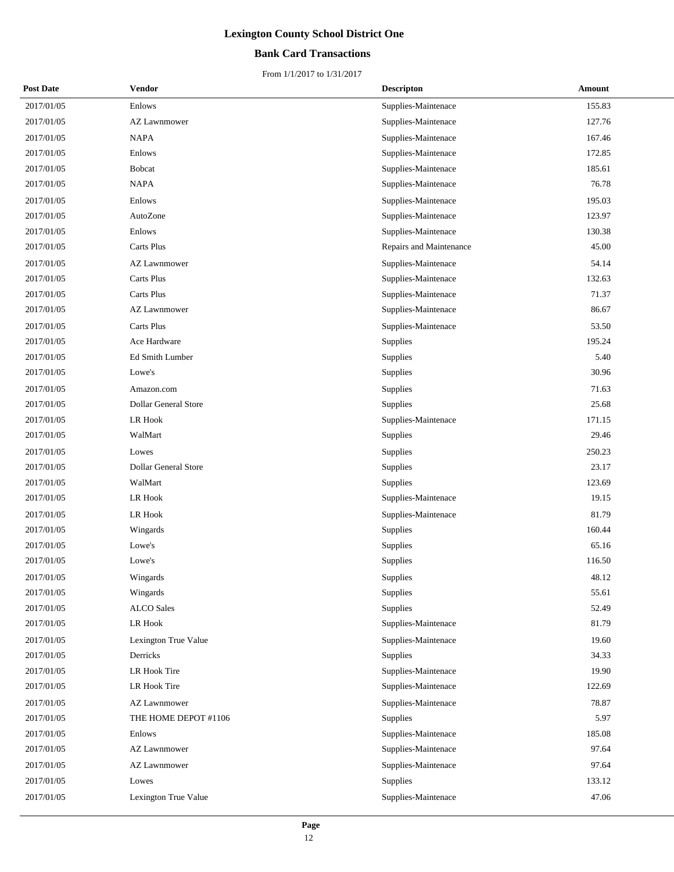## **Bank Card Transactions**

| <b>Post Date</b> | Vendor                      | <b>Descripton</b>       | Amount |
|------------------|-----------------------------|-------------------------|--------|
| 2017/01/05       | Enlows                      | Supplies-Maintenace     | 155.83 |
| 2017/01/05       | <b>AZ Lawnmower</b>         | Supplies-Maintenace     | 127.76 |
| 2017/01/05       | <b>NAPA</b>                 | Supplies-Maintenace     | 167.46 |
| 2017/01/05       | Enlows                      | Supplies-Maintenace     | 172.85 |
| 2017/01/05       | <b>Bobcat</b>               | Supplies-Maintenace     | 185.61 |
| 2017/01/05       | <b>NAPA</b>                 | Supplies-Maintenace     | 76.78  |
| 2017/01/05       | Enlows                      | Supplies-Maintenace     | 195.03 |
| 2017/01/05       | AutoZone                    | Supplies-Maintenace     | 123.97 |
| 2017/01/05       | Enlows                      | Supplies-Maintenace     | 130.38 |
| 2017/01/05       | Carts Plus                  | Repairs and Maintenance | 45.00  |
| 2017/01/05       | <b>AZ Lawnmower</b>         | Supplies-Maintenace     | 54.14  |
| 2017/01/05       | Carts Plus                  | Supplies-Maintenace     | 132.63 |
| 2017/01/05       | Carts Plus                  | Supplies-Maintenace     | 71.37  |
| 2017/01/05       | AZ Lawnmower                | Supplies-Maintenace     | 86.67  |
| 2017/01/05       | Carts Plus                  | Supplies-Maintenace     | 53.50  |
| 2017/01/05       | Ace Hardware                | Supplies                | 195.24 |
| 2017/01/05       | Ed Smith Lumber             | Supplies                | 5.40   |
| 2017/01/05       | Lowe's                      | Supplies                | 30.96  |
| 2017/01/05       | Amazon.com                  | Supplies                | 71.63  |
| 2017/01/05       | <b>Dollar General Store</b> | Supplies                | 25.68  |
| 2017/01/05       | <b>LR Hook</b>              | Supplies-Maintenace     | 171.15 |
| 2017/01/05       | WalMart                     | Supplies                | 29.46  |
| 2017/01/05       | Lowes                       | Supplies                | 250.23 |
| 2017/01/05       | <b>Dollar General Store</b> | Supplies                | 23.17  |
| 2017/01/05       | WalMart                     | Supplies                | 123.69 |
| 2017/01/05       | LR Hook                     | Supplies-Maintenace     | 19.15  |
| 2017/01/05       | LR Hook                     | Supplies-Maintenace     | 81.79  |
| 2017/01/05       | Wingards                    | Supplies                | 160.44 |
| 2017/01/05       | Lowe's                      | Supplies                | 65.16  |
| 2017/01/05       | Lowe's                      | Supplies                | 116.50 |
| 2017/01/05       | Wingards                    | Supplies                | 48.12  |
| 2017/01/05       | Wingards                    | Supplies                | 55.61  |
| 2017/01/05       | <b>ALCO</b> Sales           | Supplies                | 52.49  |
| 2017/01/05       | LR Hook                     | Supplies-Maintenace     | 81.79  |
| 2017/01/05       | Lexington True Value        | Supplies-Maintenace     | 19.60  |
| 2017/01/05       | Derricks                    | Supplies                | 34.33  |
| 2017/01/05       | LR Hook Tire                | Supplies-Maintenace     | 19.90  |
| 2017/01/05       | LR Hook Tire                | Supplies-Maintenace     | 122.69 |
| 2017/01/05       | <b>AZ Lawnmower</b>         | Supplies-Maintenace     | 78.87  |
| 2017/01/05       | THE HOME DEPOT #1106        | Supplies                | 5.97   |
| 2017/01/05       | Enlows                      | Supplies-Maintenace     | 185.08 |
| 2017/01/05       | AZ Lawnmower                | Supplies-Maintenace     | 97.64  |
| 2017/01/05       | <b>AZ Lawnmower</b>         | Supplies-Maintenace     | 97.64  |
| 2017/01/05       | Lowes                       | Supplies                | 133.12 |
| 2017/01/05       | Lexington True Value        | Supplies-Maintenace     | 47.06  |
|                  |                             |                         |        |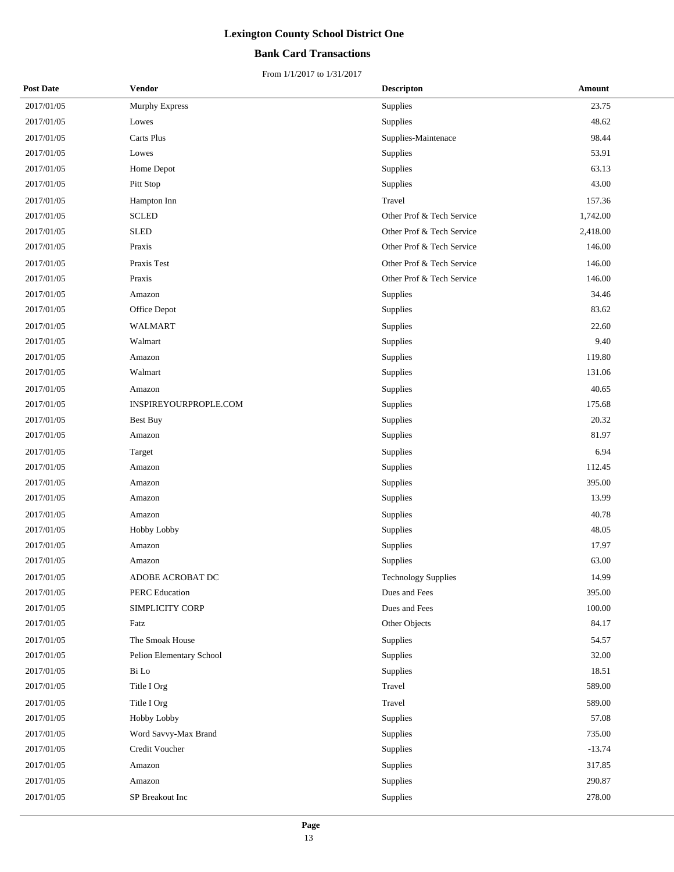## **Bank Card Transactions**

| <b>Post Date</b> | <b>Vendor</b>            | <b>Descripton</b>          | Amount   |
|------------------|--------------------------|----------------------------|----------|
| 2017/01/05       | <b>Murphy Express</b>    | Supplies                   | 23.75    |
| 2017/01/05       | Lowes                    | Supplies                   | 48.62    |
| 2017/01/05       | Carts Plus               | Supplies-Maintenace        | 98.44    |
| 2017/01/05       | Lowes                    | Supplies                   | 53.91    |
| 2017/01/05       | Home Depot               | Supplies                   | 63.13    |
| 2017/01/05       | Pitt Stop                | Supplies                   | 43.00    |
| 2017/01/05       | Hampton Inn              | Travel                     | 157.36   |
| 2017/01/05       | <b>SCLED</b>             | Other Prof & Tech Service  | 1,742.00 |
| 2017/01/05       | <b>SLED</b>              | Other Prof & Tech Service  | 2,418.00 |
| 2017/01/05       | Praxis                   | Other Prof & Tech Service  | 146.00   |
| 2017/01/05       | Praxis Test              | Other Prof & Tech Service  | 146.00   |
| 2017/01/05       | Praxis                   | Other Prof & Tech Service  | 146.00   |
| 2017/01/05       | Amazon                   | Supplies                   | 34.46    |
| 2017/01/05       | Office Depot             | Supplies                   | 83.62    |
| 2017/01/05       | <b>WALMART</b>           | Supplies                   | 22.60    |
| 2017/01/05       | Walmart                  | Supplies                   | 9.40     |
| 2017/01/05       | Amazon                   | Supplies                   | 119.80   |
| 2017/01/05       | Walmart                  | Supplies                   | 131.06   |
| 2017/01/05       | Amazon                   | Supplies                   | 40.65    |
| 2017/01/05       | INSPIREYOURPROPLE.COM    | Supplies                   | 175.68   |
| 2017/01/05       | <b>Best Buy</b>          | Supplies                   | 20.32    |
| 2017/01/05       | Amazon                   | Supplies                   | 81.97    |
| 2017/01/05       | Target                   | Supplies                   | 6.94     |
| 2017/01/05       | Amazon                   | Supplies                   | 112.45   |
| 2017/01/05       | Amazon                   | Supplies                   | 395.00   |
| 2017/01/05       | Amazon                   | Supplies                   | 13.99    |
| 2017/01/05       | Amazon                   | Supplies                   | 40.78    |
| 2017/01/05       | Hobby Lobby              | Supplies                   | 48.05    |
| 2017/01/05       | Amazon                   | Supplies                   | 17.97    |
| 2017/01/05       | Amazon                   | Supplies                   | 63.00    |
| 2017/01/05       | ADOBE ACROBAT DC         | <b>Technology Supplies</b> | 14.99    |
| 2017/01/05       | PERC Education           | Dues and Fees              | 395.00   |
| 2017/01/05       | SIMPLICITY CORP          | Dues and Fees              | 100.00   |
| 2017/01/05       | Fatz                     | Other Objects              | 84.17    |
| 2017/01/05       | The Smoak House          | Supplies                   | 54.57    |
| 2017/01/05       | Pelion Elementary School | Supplies                   | 32.00    |
| 2017/01/05       | Bi Lo                    | Supplies                   | 18.51    |
| 2017/01/05       | Title I Org              | Travel                     | 589.00   |
| 2017/01/05       | Title I Org              | Travel                     | 589.00   |
| 2017/01/05       | Hobby Lobby              | Supplies                   | 57.08    |
| 2017/01/05       | Word Savvy-Max Brand     | Supplies                   | 735.00   |
| 2017/01/05       | Credit Voucher           | Supplies                   | $-13.74$ |
| 2017/01/05       | Amazon                   | Supplies                   | 317.85   |
| 2017/01/05       | Amazon                   | Supplies                   | 290.87   |
| 2017/01/05       | SP Breakout Inc          | Supplies                   | 278.00   |
|                  |                          |                            |          |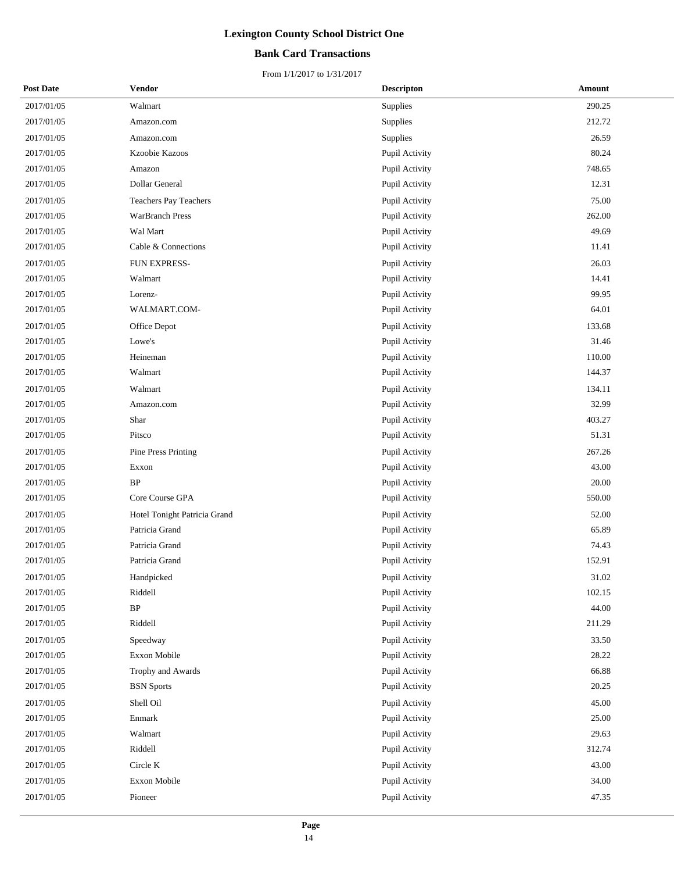## **Bank Card Transactions**

| <b>Post Date</b> | Vendor                       | <b>Descripton</b> | Amount |
|------------------|------------------------------|-------------------|--------|
| 2017/01/05       | Walmart                      | Supplies          | 290.25 |
| 2017/01/05       | Amazon.com                   | Supplies          | 212.72 |
| 2017/01/05       | Amazon.com                   | Supplies          | 26.59  |
| 2017/01/05       | Kzoobie Kazoos               | Pupil Activity    | 80.24  |
| 2017/01/05       | Amazon                       | Pupil Activity    | 748.65 |
| 2017/01/05       | Dollar General               | Pupil Activity    | 12.31  |
| 2017/01/05       | Teachers Pay Teachers        | Pupil Activity    | 75.00  |
| 2017/01/05       | <b>WarBranch Press</b>       | Pupil Activity    | 262.00 |
| 2017/01/05       | Wal Mart                     | Pupil Activity    | 49.69  |
| 2017/01/05       | Cable & Connections          | Pupil Activity    | 11.41  |
| 2017/01/05       | FUN EXPRESS-                 | Pupil Activity    | 26.03  |
| 2017/01/05       | Walmart                      | Pupil Activity    | 14.41  |
| 2017/01/05       | Lorenz-                      | Pupil Activity    | 99.95  |
| 2017/01/05       | WALMART.COM-                 | Pupil Activity    | 64.01  |
| 2017/01/05       | Office Depot                 | Pupil Activity    | 133.68 |
| 2017/01/05       | Lowe's                       | Pupil Activity    | 31.46  |
| 2017/01/05       | Heineman                     | Pupil Activity    | 110.00 |
| 2017/01/05       | Walmart                      | Pupil Activity    | 144.37 |
| 2017/01/05       | Walmart                      | Pupil Activity    | 134.11 |
| 2017/01/05       | Amazon.com                   | Pupil Activity    | 32.99  |
| 2017/01/05       | Shar                         | Pupil Activity    | 403.27 |
| 2017/01/05       | Pitsco                       | Pupil Activity    | 51.31  |
| 2017/01/05       | Pine Press Printing          | Pupil Activity    | 267.26 |
| 2017/01/05       | Exxon                        | Pupil Activity    | 43.00  |
| 2017/01/05       | <b>BP</b>                    | Pupil Activity    | 20.00  |
| 2017/01/05       | Core Course GPA              | Pupil Activity    | 550.00 |
| 2017/01/05       | Hotel Tonight Patricia Grand | Pupil Activity    | 52.00  |
| 2017/01/05       | Patricia Grand               | Pupil Activity    | 65.89  |
| 2017/01/05       | Patricia Grand               | Pupil Activity    | 74.43  |
| 2017/01/05       | Patricia Grand               | Pupil Activity    | 152.91 |
| 2017/01/05       | Handpicked                   | Pupil Activity    | 31.02  |
| 2017/01/05       | Riddell                      | Pupil Activity    | 102.15 |
| 2017/01/05       | $\rm BP$                     | Pupil Activity    | 44.00  |
| 2017/01/05       | Riddell                      | Pupil Activity    | 211.29 |
| 2017/01/05       | Speedway                     | Pupil Activity    | 33.50  |
| 2017/01/05       | Exxon Mobile                 | Pupil Activity    | 28.22  |
| 2017/01/05       | Trophy and Awards            | Pupil Activity    | 66.88  |
| 2017/01/05       | <b>BSN</b> Sports            | Pupil Activity    | 20.25  |
| 2017/01/05       | Shell Oil                    | Pupil Activity    | 45.00  |
| 2017/01/05       | Enmark                       | Pupil Activity    | 25.00  |
| 2017/01/05       | Walmart                      | Pupil Activity    | 29.63  |
| 2017/01/05       | Riddell                      | Pupil Activity    | 312.74 |
| 2017/01/05       | Circle K                     | Pupil Activity    | 43.00  |
| 2017/01/05       | Exxon Mobile                 | Pupil Activity    | 34.00  |
| 2017/01/05       | Pioneer                      | Pupil Activity    | 47.35  |
|                  |                              |                   |        |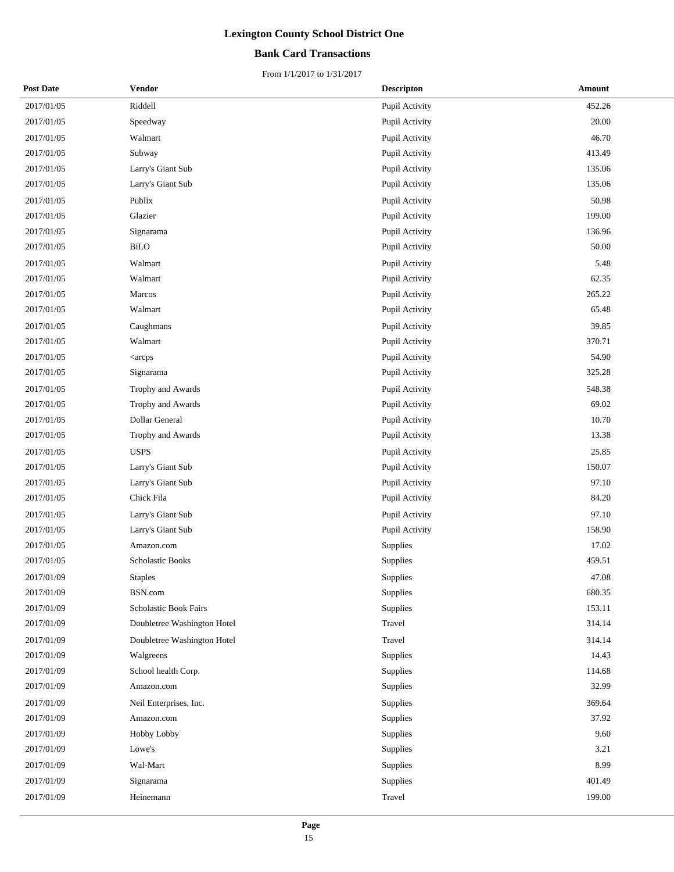## **Bank Card Transactions**

| <b>Post Date</b> | Vendor                                                       | <b>Descripton</b> | Amount |
|------------------|--------------------------------------------------------------|-------------------|--------|
| 2017/01/05       | Riddell                                                      | Pupil Activity    | 452.26 |
| 2017/01/05       | Speedway                                                     | Pupil Activity    | 20.00  |
| 2017/01/05       | Walmart                                                      | Pupil Activity    | 46.70  |
| 2017/01/05       | Subway                                                       | Pupil Activity    | 413.49 |
| 2017/01/05       | Larry's Giant Sub                                            | Pupil Activity    | 135.06 |
| 2017/01/05       | Larry's Giant Sub                                            | Pupil Activity    | 135.06 |
| 2017/01/05       | Publix                                                       | Pupil Activity    | 50.98  |
| 2017/01/05       | Glazier                                                      | Pupil Activity    | 199.00 |
| 2017/01/05       | Signarama                                                    | Pupil Activity    | 136.96 |
| 2017/01/05       | <b>BiLO</b>                                                  | Pupil Activity    | 50.00  |
| 2017/01/05       | Walmart                                                      | Pupil Activity    | 5.48   |
| 2017/01/05       | Walmart                                                      | Pupil Activity    | 62.35  |
| 2017/01/05       | Marcos                                                       | Pupil Activity    | 265.22 |
| 2017/01/05       | Walmart                                                      | Pupil Activity    | 65.48  |
| 2017/01/05       | Caughmans                                                    | Pupil Activity    | 39.85  |
| 2017/01/05       | Walmart                                                      | Pupil Activity    | 370.71 |
| 2017/01/05       | <arcps< td=""><td>Pupil Activity</td><td>54.90</td></arcps<> | Pupil Activity    | 54.90  |
| 2017/01/05       | Signarama                                                    | Pupil Activity    | 325.28 |
| 2017/01/05       | Trophy and Awards                                            | Pupil Activity    | 548.38 |
| 2017/01/05       | Trophy and Awards                                            | Pupil Activity    | 69.02  |
| 2017/01/05       | Dollar General                                               | Pupil Activity    | 10.70  |
| 2017/01/05       | Trophy and Awards                                            | Pupil Activity    | 13.38  |
| 2017/01/05       | <b>USPS</b>                                                  | Pupil Activity    | 25.85  |
| 2017/01/05       | Larry's Giant Sub                                            | Pupil Activity    | 150.07 |
| 2017/01/05       | Larry's Giant Sub                                            | Pupil Activity    | 97.10  |
| 2017/01/05       | Chick Fila                                                   | Pupil Activity    | 84.20  |
| 2017/01/05       | Larry's Giant Sub                                            | Pupil Activity    | 97.10  |
| 2017/01/05       | Larry's Giant Sub                                            | Pupil Activity    | 158.90 |
| 2017/01/05       | Amazon.com                                                   | Supplies          | 17.02  |
| 2017/01/05       | Scholastic Books                                             | Supplies          | 459.51 |
| 2017/01/09       | <b>Staples</b>                                               | Supplies          | 47.08  |
| 2017/01/09       | BSN.com                                                      | Supplies          | 680.35 |
| 2017/01/09       | Scholastic Book Fairs                                        | Supplies          | 153.11 |
| 2017/01/09       | Doubletree Washington Hotel                                  | Travel            | 314.14 |
| 2017/01/09       | Doubletree Washington Hotel                                  | Travel            | 314.14 |
| 2017/01/09       | Walgreens                                                    | Supplies          | 14.43  |
| 2017/01/09       | School health Corp.                                          | Supplies          | 114.68 |
| 2017/01/09       | Amazon.com                                                   | Supplies          | 32.99  |
| 2017/01/09       | Neil Enterprises, Inc.                                       | Supplies          | 369.64 |
| 2017/01/09       | Amazon.com                                                   | Supplies          | 37.92  |
| 2017/01/09       | Hobby Lobby                                                  | Supplies          | 9.60   |
| 2017/01/09       | Lowe's                                                       | Supplies          | 3.21   |
| 2017/01/09       | Wal-Mart                                                     | Supplies          | 8.99   |
| 2017/01/09       | Signarama                                                    | Supplies          | 401.49 |
| 2017/01/09       | Heinemann                                                    | Travel            | 199.00 |
|                  |                                                              |                   |        |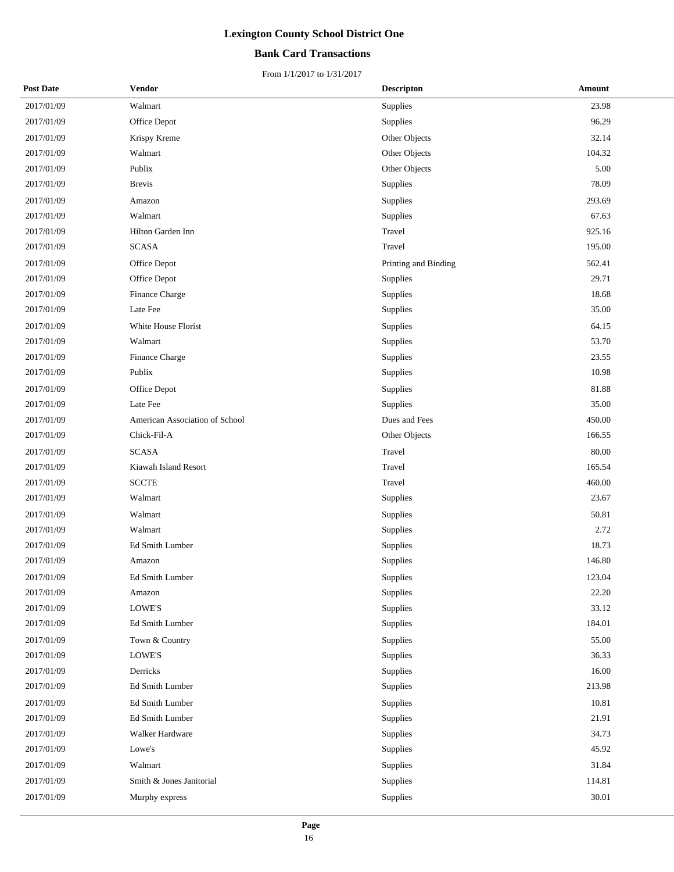## **Bank Card Transactions**

| <b>Post Date</b> | Vendor                         | <b>Descripton</b>    | Amount    |
|------------------|--------------------------------|----------------------|-----------|
| 2017/01/09       | Walmart                        | Supplies             | 23.98     |
| 2017/01/09       | Office Depot                   | Supplies             | 96.29     |
| 2017/01/09       | Krispy Kreme                   | Other Objects        | 32.14     |
| 2017/01/09       | Walmart                        | Other Objects        | 104.32    |
| 2017/01/09       | Publix                         | Other Objects        | 5.00      |
| 2017/01/09       | <b>Brevis</b>                  | Supplies             | 78.09     |
| 2017/01/09       | Amazon                         | Supplies             | 293.69    |
| 2017/01/09       | Walmart                        | Supplies             | 67.63     |
| 2017/01/09       | Hilton Garden Inn              | Travel               | 925.16    |
| 2017/01/09       | <b>SCASA</b>                   | Travel               | 195.00    |
| 2017/01/09       | Office Depot                   | Printing and Binding | 562.41    |
| 2017/01/09       | Office Depot                   | Supplies             | 29.71     |
| 2017/01/09       | Finance Charge                 | Supplies             | 18.68     |
| 2017/01/09       | Late Fee                       | Supplies             | 35.00     |
| 2017/01/09       | White House Florist            | Supplies             | 64.15     |
| 2017/01/09       | Walmart                        | Supplies             | 53.70     |
| 2017/01/09       | Finance Charge                 | Supplies             | 23.55     |
| 2017/01/09       | Publix                         | Supplies             | 10.98     |
| 2017/01/09       | Office Depot                   | Supplies             | 81.88     |
| 2017/01/09       | Late Fee                       | Supplies             | 35.00     |
| 2017/01/09       | American Association of School | Dues and Fees        | 450.00    |
| 2017/01/09       | Chick-Fil-A                    | Other Objects        | 166.55    |
| 2017/01/09       | <b>SCASA</b>                   | Travel               | 80.00     |
| 2017/01/09       | Kiawah Island Resort           | Travel               | 165.54    |
| 2017/01/09       | <b>SCCTE</b>                   | Travel               | 460.00    |
| 2017/01/09       | Walmart                        | Supplies             | 23.67     |
| 2017/01/09       | Walmart                        | Supplies             | 50.81     |
| 2017/01/09       | Walmart                        | Supplies             | 2.72      |
| 2017/01/09       | Ed Smith Lumber                | Supplies             | 18.73     |
| 2017/01/09       | Amazon                         | Supplies             | 146.80    |
| 2017/01/09       | Ed Smith Lumber                | Supplies             | 123.04    |
| 2017/01/09       | Amazon                         | Supplies             | 22.20     |
| 2017/01/09       | $\operatorname{LOWE'S}$        | Supplies             | 33.12     |
| 2017/01/09       | Ed Smith Lumber                | Supplies             | 184.01    |
| 2017/01/09       | Town & Country                 | Supplies             | 55.00     |
| 2017/01/09       | LOWE'S                         | Supplies             | 36.33     |
| 2017/01/09       | Derricks                       | Supplies             | 16.00     |
| 2017/01/09       | Ed Smith Lumber                | Supplies             | 213.98    |
| 2017/01/09       | Ed Smith Lumber                | Supplies             | 10.81     |
| 2017/01/09       | Ed Smith Lumber                | Supplies             | 21.91     |
| 2017/01/09       | Walker Hardware                | Supplies             | 34.73     |
| 2017/01/09       | Lowe's                         | Supplies             | 45.92     |
| 2017/01/09       | Walmart                        | Supplies             | 31.84     |
| 2017/01/09       | Smith & Jones Janitorial       | Supplies             | 114.81    |
| 2017/01/09       | Murphy express                 | Supplies             | $30.01\,$ |
|                  |                                |                      |           |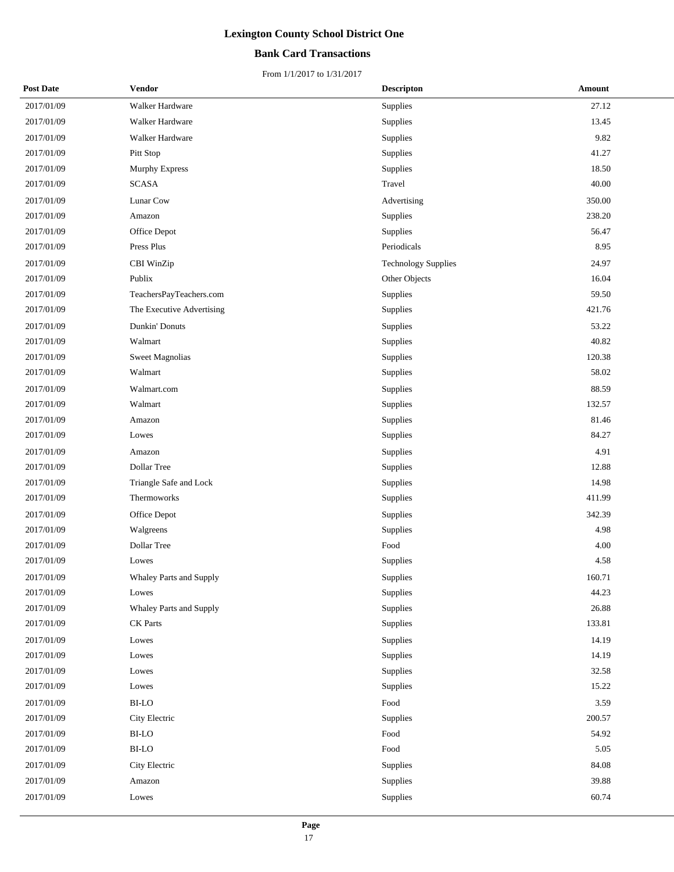## **Bank Card Transactions**

| <b>Post Date</b> | <b>Vendor</b>             | <b>Descripton</b>          | Amount |
|------------------|---------------------------|----------------------------|--------|
| 2017/01/09       | Walker Hardware           | Supplies                   | 27.12  |
| 2017/01/09       | Walker Hardware           | Supplies                   | 13.45  |
| 2017/01/09       | Walker Hardware           | Supplies                   | 9.82   |
| 2017/01/09       | Pitt Stop                 | Supplies                   | 41.27  |
| 2017/01/09       | Murphy Express            | Supplies                   | 18.50  |
| 2017/01/09       | <b>SCASA</b>              | Travel                     | 40.00  |
| 2017/01/09       | Lunar Cow                 | Advertising                | 350.00 |
| 2017/01/09       | Amazon                    | Supplies                   | 238.20 |
| 2017/01/09       | Office Depot              | Supplies                   | 56.47  |
| 2017/01/09       | Press Plus                | Periodicals                | 8.95   |
| 2017/01/09       | CBI WinZip                | <b>Technology Supplies</b> | 24.97  |
| 2017/01/09       | Publix                    | Other Objects              | 16.04  |
| 2017/01/09       | TeachersPayTeachers.com   | Supplies                   | 59.50  |
| 2017/01/09       | The Executive Advertising | Supplies                   | 421.76 |
| 2017/01/09       | Dunkin' Donuts            | Supplies                   | 53.22  |
| 2017/01/09       | Walmart                   | Supplies                   | 40.82  |
| 2017/01/09       | <b>Sweet Magnolias</b>    | Supplies                   | 120.38 |
| 2017/01/09       | Walmart                   | Supplies                   | 58.02  |
| 2017/01/09       | Walmart.com               | Supplies                   | 88.59  |
| 2017/01/09       | Walmart                   | Supplies                   | 132.57 |
| 2017/01/09       | Amazon                    | Supplies                   | 81.46  |
| 2017/01/09       | Lowes                     | Supplies                   | 84.27  |
| 2017/01/09       | Amazon                    | Supplies                   | 4.91   |
| 2017/01/09       | Dollar Tree               | Supplies                   | 12.88  |
| 2017/01/09       | Triangle Safe and Lock    | Supplies                   | 14.98  |
| 2017/01/09       | Thermoworks               | Supplies                   | 411.99 |
| 2017/01/09       | Office Depot              | Supplies                   | 342.39 |
| 2017/01/09       | Walgreens                 | Supplies                   | 4.98   |
| 2017/01/09       | Dollar Tree               | Food                       | 4.00   |
| 2017/01/09       | Lowes                     | Supplies                   | 4.58   |
| 2017/01/09       | Whaley Parts and Supply   | Supplies                   | 160.71 |
| 2017/01/09       | Lowes                     | Supplies                   | 44.23  |
| 2017/01/09       | Whaley Parts and Supply   | Supplies                   | 26.88  |
| 2017/01/09       | CK Parts                  | Supplies                   | 133.81 |
| 2017/01/09       | Lowes                     | Supplies                   | 14.19  |
| 2017/01/09       | Lowes                     | Supplies                   | 14.19  |
| 2017/01/09       | Lowes                     | Supplies                   | 32.58  |
| 2017/01/09       | Lowes                     | Supplies                   | 15.22  |
| 2017/01/09       | BI-LO                     | Food                       | 3.59   |
| 2017/01/09       | City Electric             | <b>Supplies</b>            | 200.57 |
| 2017/01/09       | BI-LO                     | Food                       | 54.92  |
| 2017/01/09       | $_{\rm BI\text{-}LO}$     | Food                       | 5.05   |
| 2017/01/09       | City Electric             | Supplies                   | 84.08  |
| 2017/01/09       | Amazon                    | Supplies                   | 39.88  |
| 2017/01/09       | Lowes                     | Supplies                   | 60.74  |
|                  |                           |                            |        |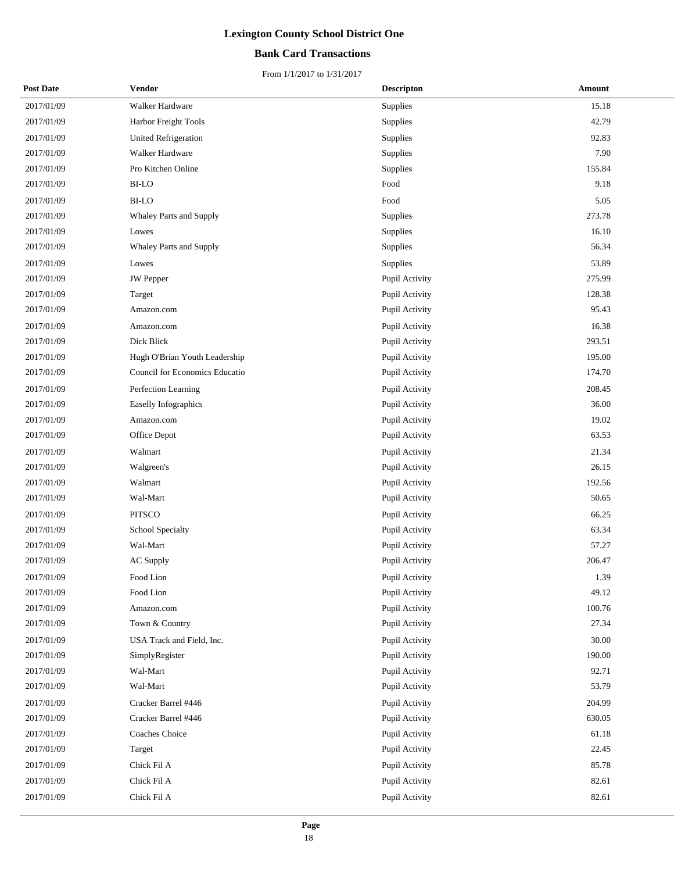## **Bank Card Transactions**

| <b>Post Date</b> | Vendor                         | <b>Descripton</b> | Amount |
|------------------|--------------------------------|-------------------|--------|
| 2017/01/09       | Walker Hardware                | Supplies          | 15.18  |
| 2017/01/09       | Harbor Freight Tools           | Supplies          | 42.79  |
| 2017/01/09       | <b>United Refrigeration</b>    | Supplies          | 92.83  |
| 2017/01/09       | Walker Hardware                | Supplies          | 7.90   |
| 2017/01/09       | Pro Kitchen Online             | Supplies          | 155.84 |
| 2017/01/09       | <b>BI-LO</b>                   | Food              | 9.18   |
| 2017/01/09       | BI-LO                          | Food              | 5.05   |
| 2017/01/09       | Whaley Parts and Supply        | Supplies          | 273.78 |
| 2017/01/09       | Lowes                          | Supplies          | 16.10  |
| 2017/01/09       | Whaley Parts and Supply        | Supplies          | 56.34  |
| 2017/01/09       | Lowes                          | Supplies          | 53.89  |
| 2017/01/09       | <b>JW</b> Pepper               | Pupil Activity    | 275.99 |
| 2017/01/09       | Target                         | Pupil Activity    | 128.38 |
| 2017/01/09       | Amazon.com                     | Pupil Activity    | 95.43  |
| 2017/01/09       | Amazon.com                     | Pupil Activity    | 16.38  |
| 2017/01/09       | Dick Blick                     | Pupil Activity    | 293.51 |
| 2017/01/09       | Hugh O'Brian Youth Leadership  | Pupil Activity    | 195.00 |
| 2017/01/09       | Council for Economics Educatio | Pupil Activity    | 174.70 |
| 2017/01/09       | Perfection Learning            | Pupil Activity    | 208.45 |
| 2017/01/09       | Easelly Infographics           | Pupil Activity    | 36.00  |
| 2017/01/09       | Amazon.com                     | Pupil Activity    | 19.02  |
| 2017/01/09       | Office Depot                   | Pupil Activity    | 63.53  |
| 2017/01/09       | Walmart                        | Pupil Activity    | 21.34  |
| 2017/01/09       | Walgreen's                     | Pupil Activity    | 26.15  |
| 2017/01/09       | Walmart                        | Pupil Activity    | 192.56 |
| 2017/01/09       | Wal-Mart                       | Pupil Activity    | 50.65  |
| 2017/01/09       | <b>PITSCO</b>                  | Pupil Activity    | 66.25  |
| 2017/01/09       | School Specialty               | Pupil Activity    | 63.34  |
| 2017/01/09       | Wal-Mart                       | Pupil Activity    | 57.27  |
| 2017/01/09       | AC Supply                      | Pupil Activity    | 206.47 |
| 2017/01/09       | Food Lion                      | Pupil Activity    | 1.39   |
| 2017/01/09       | Food Lion                      | Pupil Activity    | 49.12  |
| 2017/01/09       | Amazon.com                     | Pupil Activity    | 100.76 |
| 2017/01/09       | Town & Country                 | Pupil Activity    | 27.34  |
| 2017/01/09       | USA Track and Field, Inc.      | Pupil Activity    | 30.00  |
| 2017/01/09       | SimplyRegister                 | Pupil Activity    | 190.00 |
| 2017/01/09       | Wal-Mart                       | Pupil Activity    | 92.71  |
| 2017/01/09       | Wal-Mart                       | Pupil Activity    | 53.79  |
| 2017/01/09       | Cracker Barrel #446            | Pupil Activity    | 204.99 |
| 2017/01/09       | Cracker Barrel #446            | Pupil Activity    | 630.05 |
| 2017/01/09       | Coaches Choice                 | Pupil Activity    | 61.18  |
| 2017/01/09       | Target                         | Pupil Activity    | 22.45  |
| 2017/01/09       | Chick Fil A                    | Pupil Activity    | 85.78  |
| 2017/01/09       | Chick Fil A                    | Pupil Activity    | 82.61  |
| 2017/01/09       | Chick Fil A                    | Pupil Activity    | 82.61  |
|                  |                                |                   |        |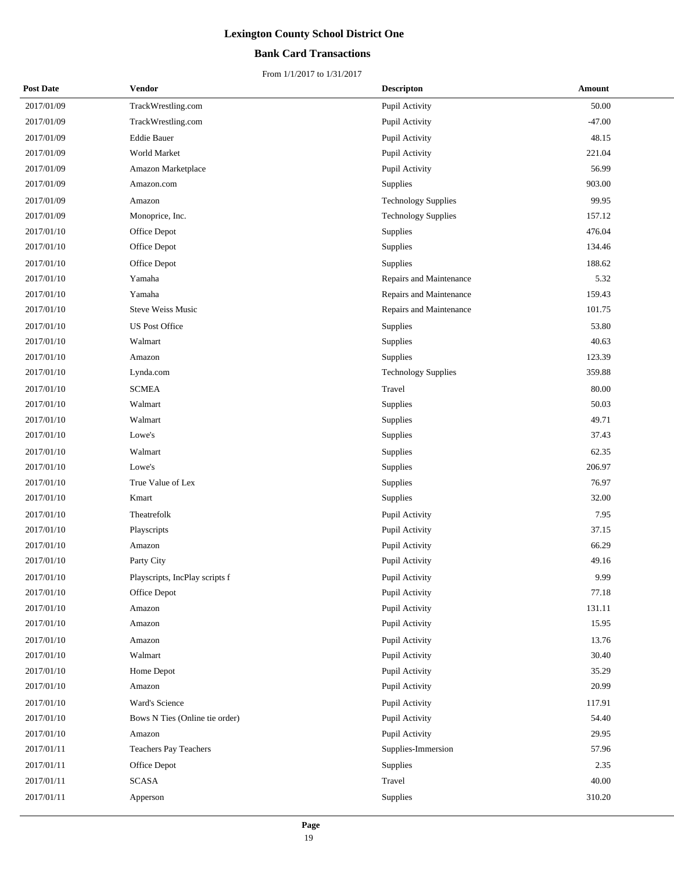## **Bank Card Transactions**

| <b>Post Date</b> | Vendor                         | <b>Descripton</b>          | Amount   |
|------------------|--------------------------------|----------------------------|----------|
| 2017/01/09       | TrackWrestling.com             | Pupil Activity             | 50.00    |
| 2017/01/09       | TrackWrestling.com             | Pupil Activity             | $-47.00$ |
| 2017/01/09       | <b>Eddie Bauer</b>             | Pupil Activity             | 48.15    |
| 2017/01/09       | World Market                   | Pupil Activity             | 221.04   |
| 2017/01/09       | Amazon Marketplace             | Pupil Activity             | 56.99    |
| 2017/01/09       | Amazon.com                     | Supplies                   | 903.00   |
| 2017/01/09       | Amazon                         | <b>Technology Supplies</b> | 99.95    |
| 2017/01/09       | Monoprice, Inc.                | <b>Technology Supplies</b> | 157.12   |
| 2017/01/10       | Office Depot                   | Supplies                   | 476.04   |
| 2017/01/10       | Office Depot                   | Supplies                   | 134.46   |
| 2017/01/10       | Office Depot                   | Supplies                   | 188.62   |
| 2017/01/10       | Yamaha                         | Repairs and Maintenance    | 5.32     |
| 2017/01/10       | Yamaha                         | Repairs and Maintenance    | 159.43   |
| 2017/01/10       | Steve Weiss Music              | Repairs and Maintenance    | 101.75   |
| 2017/01/10       | <b>US Post Office</b>          | Supplies                   | 53.80    |
| 2017/01/10       | Walmart                        | Supplies                   | 40.63    |
| 2017/01/10       | Amazon                         | Supplies                   | 123.39   |
| 2017/01/10       | Lynda.com                      | <b>Technology Supplies</b> | 359.88   |
| 2017/01/10       | <b>SCMEA</b>                   | Travel                     | 80.00    |
| 2017/01/10       | Walmart                        | Supplies                   | 50.03    |
| 2017/01/10       | Walmart                        | Supplies                   | 49.71    |
| 2017/01/10       | Lowe's                         | Supplies                   | 37.43    |
| 2017/01/10       | Walmart                        | Supplies                   | 62.35    |
| 2017/01/10       | Lowe's                         | Supplies                   | 206.97   |
| 2017/01/10       | True Value of Lex              | Supplies                   | 76.97    |
| 2017/01/10       | Kmart                          | Supplies                   | 32.00    |
| 2017/01/10       | Theatrefolk                    | Pupil Activity             | 7.95     |
| 2017/01/10       | Playscripts                    | Pupil Activity             | 37.15    |
| 2017/01/10       | Amazon                         | Pupil Activity             | 66.29    |
| 2017/01/10       | Party City                     | Pupil Activity             | 49.16    |
| 2017/01/10       | Playscripts, IncPlay scripts f | Pupil Activity             | 9.99     |
| 2017/01/10       | Office Depot                   | Pupil Activity             | 77.18    |
| 2017/01/10       | Amazon                         | Pupil Activity             | 131.11   |
| 2017/01/10       | Amazon                         | Pupil Activity             | 15.95    |
| 2017/01/10       | Amazon                         | Pupil Activity             | 13.76    |
| 2017/01/10       | Walmart                        | Pupil Activity             | 30.40    |
| 2017/01/10       | Home Depot                     | Pupil Activity             | 35.29    |
| 2017/01/10       | Amazon                         | Pupil Activity             | 20.99    |
| 2017/01/10       | Ward's Science                 | Pupil Activity             | 117.91   |
| 2017/01/10       | Bows N Ties (Online tie order) | Pupil Activity             | 54.40    |
| 2017/01/10       | Amazon                         | Pupil Activity             | 29.95    |
| 2017/01/11       | Teachers Pay Teachers          | Supplies-Immersion         | 57.96    |
| 2017/01/11       | Office Depot                   | Supplies                   | 2.35     |
| 2017/01/11       | <b>SCASA</b>                   | Travel                     | 40.00    |
| 2017/01/11       | Apperson                       | Supplies                   | 310.20   |
|                  |                                |                            |          |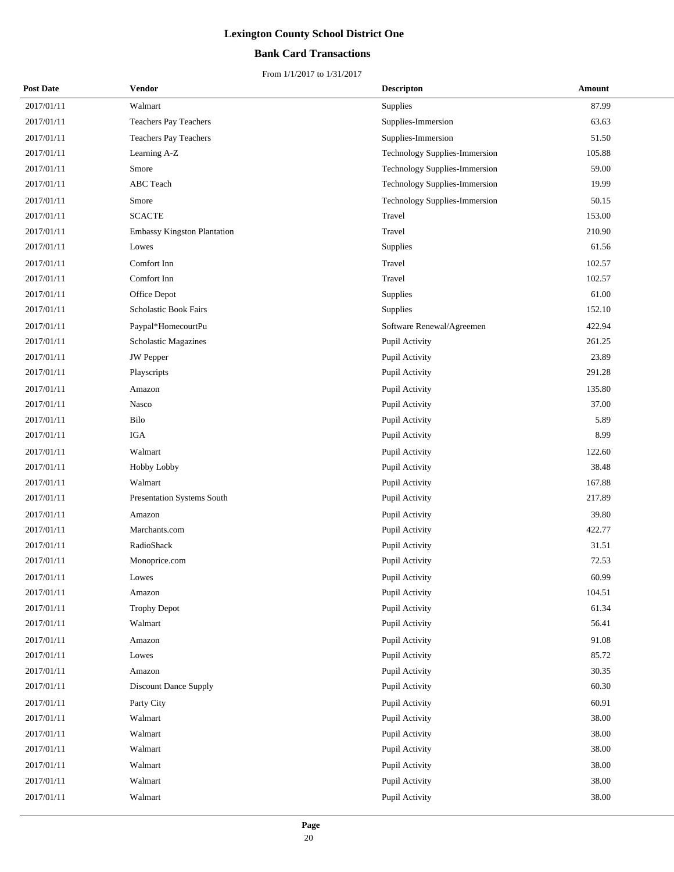## **Bank Card Transactions**

| <b>Post Date</b> | Vendor                             | <b>Descripton</b>             | Amount |
|------------------|------------------------------------|-------------------------------|--------|
| 2017/01/11       | Walmart                            | Supplies                      | 87.99  |
| 2017/01/11       | <b>Teachers Pay Teachers</b>       | Supplies-Immersion            | 63.63  |
| 2017/01/11       | Teachers Pay Teachers              | Supplies-Immersion            | 51.50  |
| 2017/01/11       | Learning A-Z                       | Technology Supplies-Immersion | 105.88 |
| 2017/01/11       | Smore                              | Technology Supplies-Immersion | 59.00  |
| 2017/01/11       | ABC Teach                          | Technology Supplies-Immersion | 19.99  |
| 2017/01/11       | Smore                              | Technology Supplies-Immersion | 50.15  |
| 2017/01/11       | <b>SCACTE</b>                      | Travel                        | 153.00 |
| 2017/01/11       | <b>Embassy Kingston Plantation</b> | Travel                        | 210.90 |
| 2017/01/11       | Lowes                              | Supplies                      | 61.56  |
| 2017/01/11       | Comfort Inn                        | Travel                        | 102.57 |
| 2017/01/11       | Comfort Inn                        | Travel                        | 102.57 |
| 2017/01/11       | Office Depot                       | Supplies                      | 61.00  |
| 2017/01/11       | Scholastic Book Fairs              | Supplies                      | 152.10 |
| 2017/01/11       | Paypal*HomecourtPu                 | Software Renewal/Agreemen     | 422.94 |
| 2017/01/11       | <b>Scholastic Magazines</b>        | Pupil Activity                | 261.25 |
| 2017/01/11       | JW Pepper                          | Pupil Activity                | 23.89  |
| 2017/01/11       | Playscripts                        | Pupil Activity                | 291.28 |
| 2017/01/11       | Amazon                             | Pupil Activity                | 135.80 |
| 2017/01/11       | Nasco                              | Pupil Activity                | 37.00  |
| 2017/01/11       | Bilo                               | Pupil Activity                | 5.89   |
| 2017/01/11       | <b>IGA</b>                         | Pupil Activity                | 8.99   |
| 2017/01/11       | Walmart                            | Pupil Activity                | 122.60 |
| 2017/01/11       | Hobby Lobby                        | Pupil Activity                | 38.48  |
| 2017/01/11       | Walmart                            | Pupil Activity                | 167.88 |
| 2017/01/11       | Presentation Systems South         | Pupil Activity                | 217.89 |
| 2017/01/11       | Amazon                             | Pupil Activity                | 39.80  |
| 2017/01/11       | Marchants.com                      | Pupil Activity                | 422.77 |
| 2017/01/11       | RadioShack                         | Pupil Activity                | 31.51  |
| 2017/01/11       | Monoprice.com                      | Pupil Activity                | 72.53  |
| 2017/01/11       | Lowes                              | Pupil Activity                | 60.99  |
| 2017/01/11       | Amazon                             | Pupil Activity                | 104.51 |
| 2017/01/11       | <b>Trophy Depot</b>                | Pupil Activity                | 61.34  |
| 2017/01/11       | Walmart                            | Pupil Activity                | 56.41  |
| 2017/01/11       | Amazon                             | Pupil Activity                | 91.08  |
| 2017/01/11       | Lowes                              | Pupil Activity                | 85.72  |
| 2017/01/11       | Amazon                             | Pupil Activity                | 30.35  |
| 2017/01/11       | Discount Dance Supply              | Pupil Activity                | 60.30  |
| 2017/01/11       | Party City                         | Pupil Activity                | 60.91  |
| 2017/01/11       | Walmart                            | Pupil Activity                | 38.00  |
| 2017/01/11       | Walmart                            | Pupil Activity                | 38.00  |
| 2017/01/11       | Walmart                            | Pupil Activity                | 38.00  |
| 2017/01/11       | Walmart                            | Pupil Activity                | 38.00  |
| 2017/01/11       | Walmart                            | Pupil Activity                | 38.00  |
| 2017/01/11       | Walmart                            | Pupil Activity                | 38.00  |
|                  |                                    |                               |        |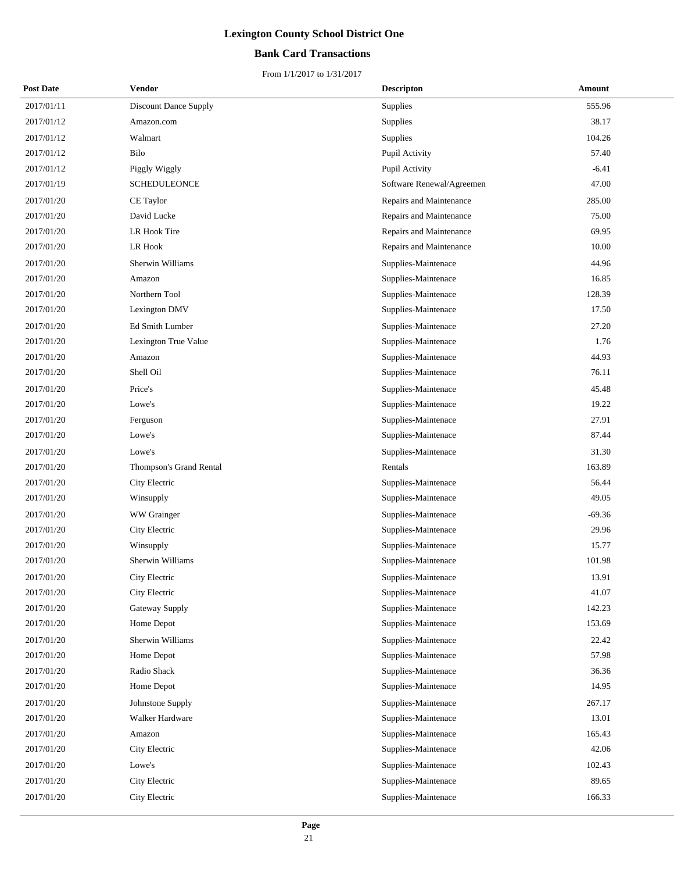## **Bank Card Transactions**

| <b>Post Date</b> | Vendor                       | <b>Descripton</b>         | Amount   |
|------------------|------------------------------|---------------------------|----------|
| 2017/01/11       | <b>Discount Dance Supply</b> | <b>Supplies</b>           | 555.96   |
| 2017/01/12       | Amazon.com                   | Supplies                  | 38.17    |
| 2017/01/12       | Walmart                      | Supplies                  | 104.26   |
| 2017/01/12       | Bilo                         | Pupil Activity            | 57.40    |
| 2017/01/12       | Piggly Wiggly                | Pupil Activity            | $-6.41$  |
| 2017/01/19       | <b>SCHEDULEONCE</b>          | Software Renewal/Agreemen | 47.00    |
| 2017/01/20       | CE Taylor                    | Repairs and Maintenance   | 285.00   |
| 2017/01/20       | David Lucke                  | Repairs and Maintenance   | 75.00    |
| 2017/01/20       | LR Hook Tire                 | Repairs and Maintenance   | 69.95    |
| 2017/01/20       | LR Hook                      | Repairs and Maintenance   | 10.00    |
| 2017/01/20       | Sherwin Williams             | Supplies-Maintenace       | 44.96    |
| 2017/01/20       | Amazon                       | Supplies-Maintenace       | 16.85    |
| 2017/01/20       | Northern Tool                | Supplies-Maintenace       | 128.39   |
| 2017/01/20       | Lexington DMV                | Supplies-Maintenace       | 17.50    |
| 2017/01/20       | Ed Smith Lumber              | Supplies-Maintenace       | 27.20    |
| 2017/01/20       | Lexington True Value         | Supplies-Maintenace       | 1.76     |
| 2017/01/20       | Amazon                       | Supplies-Maintenace       | 44.93    |
| 2017/01/20       | Shell Oil                    | Supplies-Maintenace       | 76.11    |
| 2017/01/20       | Price's                      | Supplies-Maintenace       | 45.48    |
| 2017/01/20       | Lowe's                       | Supplies-Maintenace       | 19.22    |
| 2017/01/20       | Ferguson                     | Supplies-Maintenace       | 27.91    |
| 2017/01/20       | Lowe's                       | Supplies-Maintenace       | 87.44    |
| 2017/01/20       | Lowe's                       | Supplies-Maintenace       | 31.30    |
| 2017/01/20       | Thompson's Grand Rental      | Rentals                   | 163.89   |
| 2017/01/20       | City Electric                | Supplies-Maintenace       | 56.44    |
| 2017/01/20       | Winsupply                    | Supplies-Maintenace       | 49.05    |
| 2017/01/20       | WW Grainger                  | Supplies-Maintenace       | $-69.36$ |
| 2017/01/20       | City Electric                | Supplies-Maintenace       | 29.96    |
| 2017/01/20       | Winsupply                    | Supplies-Maintenace       | 15.77    |
| 2017/01/20       | Sherwin Williams             | Supplies-Maintenace       | 101.98   |
| 2017/01/20       | City Electric                | Supplies-Maintenace       | 13.91    |
| 2017/01/20       | City Electric                | Supplies-Maintenace       | 41.07    |
| 2017/01/20       | Gateway Supply               | Supplies-Maintenace       | 142.23   |
| 2017/01/20       | Home Depot                   | Supplies-Maintenace       | 153.69   |
| 2017/01/20       | Sherwin Williams             | Supplies-Maintenace       | 22.42    |
| 2017/01/20       | Home Depot                   | Supplies-Maintenace       | 57.98    |
| 2017/01/20       | Radio Shack                  | Supplies-Maintenace       | 36.36    |
| 2017/01/20       | Home Depot                   | Supplies-Maintenace       | 14.95    |
| 2017/01/20       | Johnstone Supply             | Supplies-Maintenace       | 267.17   |
| 2017/01/20       | Walker Hardware              | Supplies-Maintenace       | 13.01    |
| 2017/01/20       | Amazon                       | Supplies-Maintenace       | 165.43   |
| 2017/01/20       | City Electric                | Supplies-Maintenace       | 42.06    |
| 2017/01/20       | Lowe's                       | Supplies-Maintenace       | 102.43   |
| 2017/01/20       | City Electric                | Supplies-Maintenace       | 89.65    |
| 2017/01/20       | City Electric                | Supplies-Maintenace       | 166.33   |
|                  |                              |                           |          |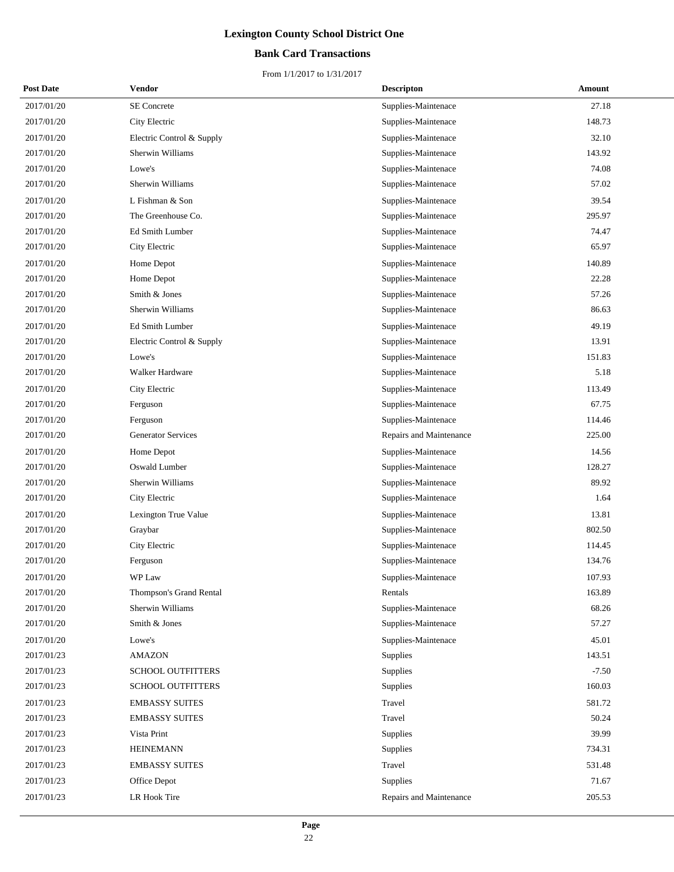## **Bank Card Transactions**

| <b>Post Date</b> | Vendor                    | <b>Descripton</b>       | Amount  |
|------------------|---------------------------|-------------------------|---------|
| 2017/01/20       | SE Concrete               | Supplies-Maintenace     | 27.18   |
| 2017/01/20       | City Electric             | Supplies-Maintenace     | 148.73  |
| 2017/01/20       | Electric Control & Supply | Supplies-Maintenace     | 32.10   |
| 2017/01/20       | Sherwin Williams          | Supplies-Maintenace     | 143.92  |
| 2017/01/20       | Lowe's                    | Supplies-Maintenace     | 74.08   |
| 2017/01/20       | Sherwin Williams          | Supplies-Maintenace     | 57.02   |
| 2017/01/20       | L Fishman & Son           | Supplies-Maintenace     | 39.54   |
| 2017/01/20       | The Greenhouse Co.        | Supplies-Maintenace     | 295.97  |
| 2017/01/20       | Ed Smith Lumber           | Supplies-Maintenace     | 74.47   |
| 2017/01/20       | City Electric             | Supplies-Maintenace     | 65.97   |
| 2017/01/20       | Home Depot                | Supplies-Maintenace     | 140.89  |
| 2017/01/20       | Home Depot                | Supplies-Maintenace     | 22.28   |
| 2017/01/20       | Smith & Jones             | Supplies-Maintenace     | 57.26   |
| 2017/01/20       | Sherwin Williams          | Supplies-Maintenace     | 86.63   |
| 2017/01/20       | Ed Smith Lumber           | Supplies-Maintenace     | 49.19   |
| 2017/01/20       | Electric Control & Supply | Supplies-Maintenace     | 13.91   |
| 2017/01/20       | Lowe's                    | Supplies-Maintenace     | 151.83  |
| 2017/01/20       | Walker Hardware           | Supplies-Maintenace     | 5.18    |
| 2017/01/20       | City Electric             | Supplies-Maintenace     | 113.49  |
| 2017/01/20       | Ferguson                  | Supplies-Maintenace     | 67.75   |
| 2017/01/20       | Ferguson                  | Supplies-Maintenace     | 114.46  |
| 2017/01/20       | <b>Generator Services</b> | Repairs and Maintenance | 225.00  |
| 2017/01/20       | Home Depot                | Supplies-Maintenace     | 14.56   |
| 2017/01/20       | Oswald Lumber             | Supplies-Maintenace     | 128.27  |
| 2017/01/20       | Sherwin Williams          | Supplies-Maintenace     | 89.92   |
| 2017/01/20       | City Electric             | Supplies-Maintenace     | 1.64    |
| 2017/01/20       | Lexington True Value      | Supplies-Maintenace     | 13.81   |
| 2017/01/20       | Graybar                   | Supplies-Maintenace     | 802.50  |
| 2017/01/20       | City Electric             | Supplies-Maintenace     | 114.45  |
| 2017/01/20       | Ferguson                  | Supplies-Maintenace     | 134.76  |
| 2017/01/20       | WP Law                    | Supplies-Maintenace     | 107.93  |
| 2017/01/20       | Thompson's Grand Rental   | Rentals                 | 163.89  |
| 2017/01/20       | Sherwin Williams          | Supplies-Maintenace     | 68.26   |
| 2017/01/20       | Smith & Jones             | Supplies-Maintenace     | 57.27   |
| 2017/01/20       | Lowe's                    | Supplies-Maintenace     | 45.01   |
| 2017/01/23       | <b>AMAZON</b>             | Supplies                | 143.51  |
| 2017/01/23       | SCHOOL OUTFITTERS         | Supplies                | $-7.50$ |
| 2017/01/23       | <b>SCHOOL OUTFITTERS</b>  | Supplies                | 160.03  |
| 2017/01/23       | <b>EMBASSY SUITES</b>     | Travel                  | 581.72  |
| 2017/01/23       | <b>EMBASSY SUITES</b>     | Travel                  | 50.24   |
| 2017/01/23       | Vista Print               | <b>Supplies</b>         | 39.99   |
| 2017/01/23       | <b>HEINEMANN</b>          | Supplies                | 734.31  |
| 2017/01/23       | <b>EMBASSY SUITES</b>     | Travel                  | 531.48  |
| 2017/01/23       | Office Depot              | Supplies                | 71.67   |
| 2017/01/23       | LR Hook Tire              | Repairs and Maintenance | 205.53  |
|                  |                           |                         |         |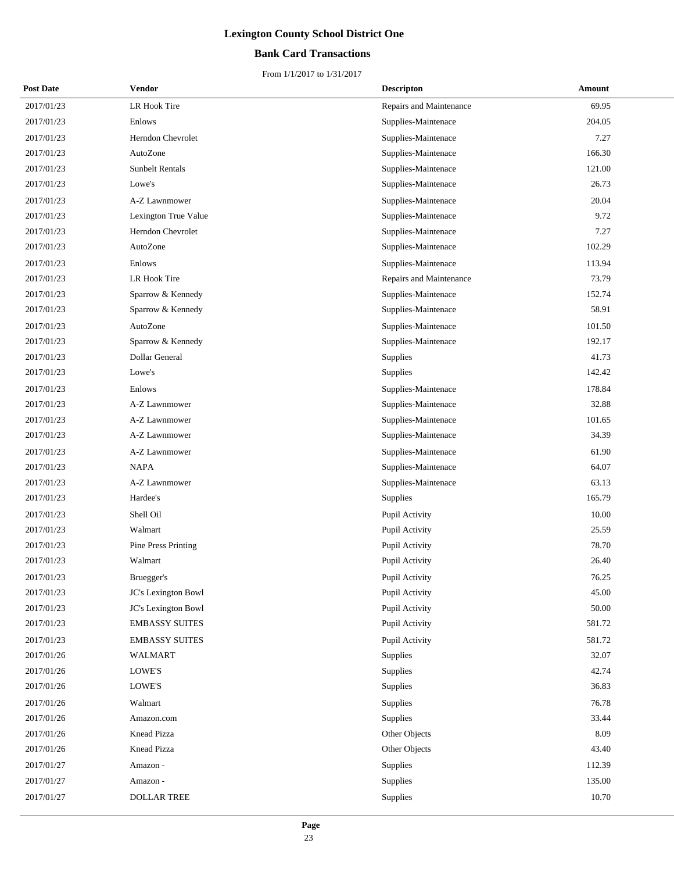## **Bank Card Transactions**

| <b>Post Date</b> | Vendor                 | <b>Descripton</b>       | Amount |
|------------------|------------------------|-------------------------|--------|
| 2017/01/23       | LR Hook Tire           | Repairs and Maintenance | 69.95  |
| 2017/01/23       | Enlows                 | Supplies-Maintenace     | 204.05 |
| 2017/01/23       | Herndon Chevrolet      | Supplies-Maintenace     | 7.27   |
| 2017/01/23       | AutoZone               | Supplies-Maintenace     | 166.30 |
| 2017/01/23       | <b>Sunbelt Rentals</b> | Supplies-Maintenace     | 121.00 |
| 2017/01/23       | Lowe's                 | Supplies-Maintenace     | 26.73  |
| 2017/01/23       | A-Z Lawnmower          | Supplies-Maintenace     | 20.04  |
| 2017/01/23       | Lexington True Value   | Supplies-Maintenace     | 9.72   |
| 2017/01/23       | Herndon Chevrolet      | Supplies-Maintenace     | 7.27   |
| 2017/01/23       | AutoZone               | Supplies-Maintenace     | 102.29 |
| 2017/01/23       | Enlows                 | Supplies-Maintenace     | 113.94 |
| 2017/01/23       | LR Hook Tire           | Repairs and Maintenance | 73.79  |
| 2017/01/23       | Sparrow & Kennedy      | Supplies-Maintenace     | 152.74 |
| 2017/01/23       | Sparrow & Kennedy      | Supplies-Maintenace     | 58.91  |
| 2017/01/23       | AutoZone               | Supplies-Maintenace     | 101.50 |
| 2017/01/23       | Sparrow & Kennedy      | Supplies-Maintenace     | 192.17 |
| 2017/01/23       | Dollar General         | Supplies                | 41.73  |
| 2017/01/23       | Lowe's                 | Supplies                | 142.42 |
| 2017/01/23       | Enlows                 | Supplies-Maintenace     | 178.84 |
| 2017/01/23       | A-Z Lawnmower          | Supplies-Maintenace     | 32.88  |
| 2017/01/23       | A-Z Lawnmower          | Supplies-Maintenace     | 101.65 |
| 2017/01/23       | A-Z Lawnmower          | Supplies-Maintenace     | 34.39  |
| 2017/01/23       | A-Z Lawnmower          | Supplies-Maintenace     | 61.90  |
| 2017/01/23       | <b>NAPA</b>            | Supplies-Maintenace     | 64.07  |
| 2017/01/23       | A-Z Lawnmower          | Supplies-Maintenace     | 63.13  |
| 2017/01/23       | Hardee's               | Supplies                | 165.79 |
| 2017/01/23       | Shell Oil              | Pupil Activity          | 10.00  |
| 2017/01/23       | Walmart                | Pupil Activity          | 25.59  |
| 2017/01/23       | Pine Press Printing    | Pupil Activity          | 78.70  |
| 2017/01/23       | Walmart                | Pupil Activity          | 26.40  |
| 2017/01/23       | Bruegger's             | Pupil Activity          | 76.25  |
| 2017/01/23       | JC's Lexington Bowl    | Pupil Activity          | 45.00  |
| 2017/01/23       | JC's Lexington Bowl    | Pupil Activity          | 50.00  |
| 2017/01/23       | <b>EMBASSY SUITES</b>  | Pupil Activity          | 581.72 |
| 2017/01/23       | <b>EMBASSY SUITES</b>  | Pupil Activity          | 581.72 |
| 2017/01/26       | WALMART                | Supplies                | 32.07  |
| 2017/01/26       | LOWE'S                 | Supplies                | 42.74  |
| 2017/01/26       | LOWE'S                 | Supplies                | 36.83  |
| 2017/01/26       | Walmart                | Supplies                | 76.78  |
| 2017/01/26       | Amazon.com             | Supplies                | 33.44  |
| 2017/01/26       | Knead Pizza            | Other Objects           | 8.09   |
| 2017/01/26       | Knead Pizza            | Other Objects           | 43.40  |
| 2017/01/27       | Amazon -               | Supplies                | 112.39 |
| 2017/01/27       | Amazon -               | Supplies                | 135.00 |
| 2017/01/27       | <b>DOLLAR TREE</b>     | Supplies                | 10.70  |
|                  |                        |                         |        |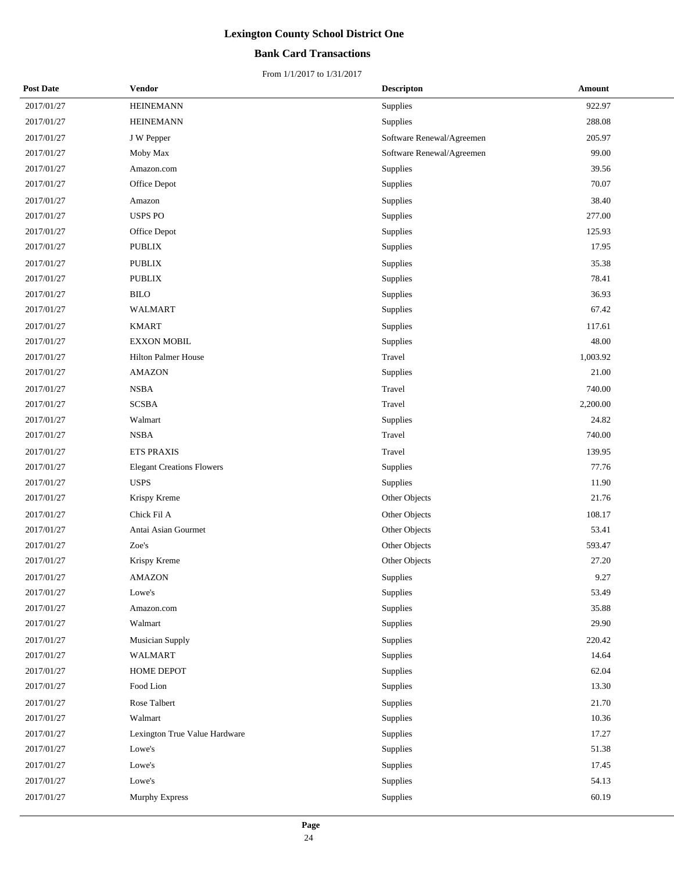## **Bank Card Transactions**

| <b>Post Date</b> | Vendor                           | <b>Descripton</b>         | Amount   |
|------------------|----------------------------------|---------------------------|----------|
| 2017/01/27       | <b>HEINEMANN</b>                 | Supplies                  | 922.97   |
| 2017/01/27       | <b>HEINEMANN</b>                 | Supplies                  | 288.08   |
| 2017/01/27       | J W Pepper                       | Software Renewal/Agreemen | 205.97   |
| 2017/01/27       | Moby Max                         | Software Renewal/Agreemen | 99.00    |
| 2017/01/27       | Amazon.com                       | Supplies                  | 39.56    |
| 2017/01/27       | Office Depot                     | Supplies                  | 70.07    |
| 2017/01/27       | Amazon                           | Supplies                  | 38.40    |
| 2017/01/27       | <b>USPS PO</b>                   | Supplies                  | 277.00   |
| 2017/01/27       | Office Depot                     | Supplies                  | 125.93   |
| 2017/01/27       | <b>PUBLIX</b>                    | Supplies                  | 17.95    |
| 2017/01/27       | <b>PUBLIX</b>                    | Supplies                  | 35.38    |
| 2017/01/27       | <b>PUBLIX</b>                    | Supplies                  | 78.41    |
| 2017/01/27       | <b>BILO</b>                      | Supplies                  | 36.93    |
| 2017/01/27       | <b>WALMART</b>                   | Supplies                  | 67.42    |
| 2017/01/27       | <b>KMART</b>                     | Supplies                  | 117.61   |
| 2017/01/27       | <b>EXXON MOBIL</b>               | Supplies                  | 48.00    |
| 2017/01/27       | <b>Hilton Palmer House</b>       | Travel                    | 1,003.92 |
| 2017/01/27       | <b>AMAZON</b>                    | Supplies                  | 21.00    |
| 2017/01/27       | <b>NSBA</b>                      | Travel                    | 740.00   |
| 2017/01/27       | <b>SCSBA</b>                     | Travel                    | 2,200.00 |
| 2017/01/27       | Walmart                          | Supplies                  | 24.82    |
| 2017/01/27       | <b>NSBA</b>                      | Travel                    | 740.00   |
| 2017/01/27       | <b>ETS PRAXIS</b>                | Travel                    | 139.95   |
| 2017/01/27       | <b>Elegant Creations Flowers</b> | Supplies                  | 77.76    |
| 2017/01/27       | <b>USPS</b>                      | Supplies                  | 11.90    |
| 2017/01/27       | Krispy Kreme                     | Other Objects             | 21.76    |
| 2017/01/27       | Chick Fil A                      | Other Objects             | 108.17   |
| 2017/01/27       | Antai Asian Gourmet              | Other Objects             | 53.41    |
| 2017/01/27       | Zoe's                            | Other Objects             | 593.47   |
| 2017/01/27       | Krispy Kreme                     | Other Objects             | 27.20    |
| 2017/01/27       | <b>AMAZON</b>                    | Supplies                  | 9.27     |
| 2017/01/27       | Lowe's                           | Supplies                  | 53.49    |
| 2017/01/27       | Amazon.com                       | Supplies                  | 35.88    |
| 2017/01/27       | Walmart                          | Supplies                  | 29.90    |
| 2017/01/27       | <b>Musician Supply</b>           | Supplies                  | 220.42   |
| 2017/01/27       | <b>WALMART</b>                   | Supplies                  | 14.64    |
| 2017/01/27       | HOME DEPOT                       | Supplies                  | 62.04    |
| 2017/01/27       | Food Lion                        | Supplies                  | 13.30    |
| 2017/01/27       | Rose Talbert                     | Supplies                  | 21.70    |
| 2017/01/27       | Walmart                          | Supplies                  | 10.36    |
| 2017/01/27       | Lexington True Value Hardware    | Supplies                  | 17.27    |
| 2017/01/27       | Lowe's                           | Supplies                  | 51.38    |
| 2017/01/27       | Lowe's                           | Supplies                  | 17.45    |
| 2017/01/27       | Lowe's                           | Supplies                  | 54.13    |
| 2017/01/27       | Murphy Express                   | Supplies                  | 60.19    |
|                  |                                  |                           |          |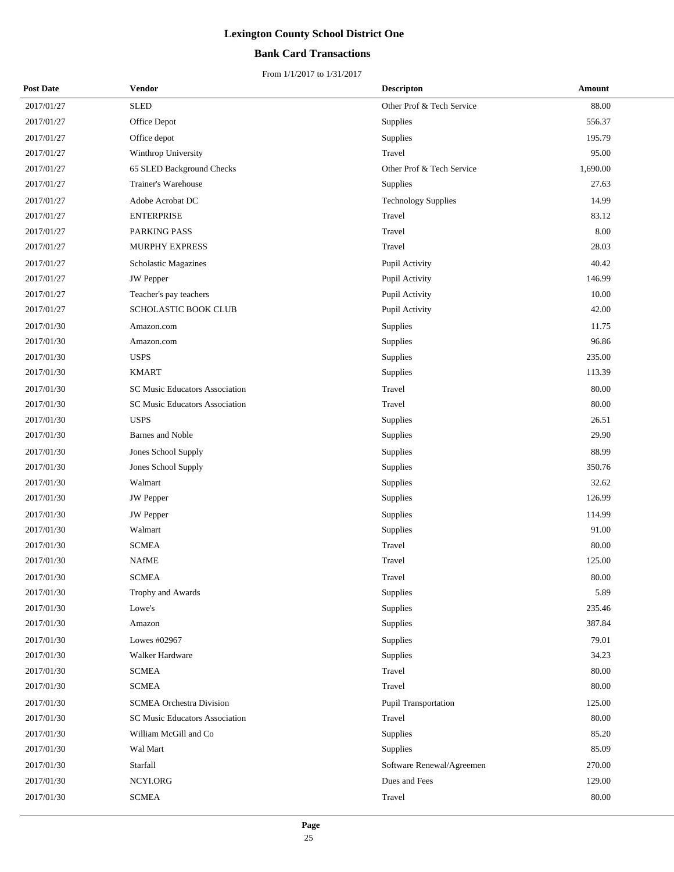## **Bank Card Transactions**

| <b>Post Date</b> | Vendor                                | <b>Descripton</b>           | Amount   |
|------------------|---------------------------------------|-----------------------------|----------|
| 2017/01/27       | <b>SLED</b>                           | Other Prof & Tech Service   | 88.00    |
| 2017/01/27       | Office Depot                          | Supplies                    | 556.37   |
| 2017/01/27       | Office depot                          | Supplies                    | 195.79   |
| 2017/01/27       | Winthrop University                   | Travel                      | 95.00    |
| 2017/01/27       | 65 SLED Background Checks             | Other Prof & Tech Service   | 1,690.00 |
| 2017/01/27       | Trainer's Warehouse                   | Supplies                    | 27.63    |
| 2017/01/27       | Adobe Acrobat DC                      | <b>Technology Supplies</b>  | 14.99    |
| 2017/01/27       | <b>ENTERPRISE</b>                     | Travel                      | 83.12    |
| 2017/01/27       | PARKING PASS                          | Travel                      | 8.00     |
| 2017/01/27       | <b>MURPHY EXPRESS</b>                 | Travel                      | 28.03    |
| 2017/01/27       | <b>Scholastic Magazines</b>           | Pupil Activity              | 40.42    |
| 2017/01/27       | <b>JW</b> Pepper                      | Pupil Activity              | 146.99   |
| 2017/01/27       | Teacher's pay teachers                | Pupil Activity              | 10.00    |
| 2017/01/27       | <b>SCHOLASTIC BOOK CLUB</b>           | Pupil Activity              | 42.00    |
| 2017/01/30       | Amazon.com                            | Supplies                    | 11.75    |
| 2017/01/30       | Amazon.com                            | Supplies                    | 96.86    |
| 2017/01/30       | <b>USPS</b>                           | Supplies                    | 235.00   |
| 2017/01/30       | <b>KMART</b>                          | Supplies                    | 113.39   |
| 2017/01/30       | SC Music Educators Association        | Travel                      | 80.00    |
| 2017/01/30       | <b>SC Music Educators Association</b> | Travel                      | 80.00    |
| 2017/01/30       | <b>USPS</b>                           | Supplies                    | 26.51    |
| 2017/01/30       | Barnes and Noble                      | Supplies                    | 29.90    |
| 2017/01/30       | Jones School Supply                   | Supplies                    | 88.99    |
| 2017/01/30       | Jones School Supply                   | Supplies                    | 350.76   |
| 2017/01/30       | Walmart                               | Supplies                    | 32.62    |
| 2017/01/30       | <b>JW</b> Pepper                      | Supplies                    | 126.99   |
| 2017/01/30       | JW Pepper                             | Supplies                    | 114.99   |
| 2017/01/30       | Walmart                               | Supplies                    | 91.00    |
| 2017/01/30       | <b>SCMEA</b>                          | Travel                      | 80.00    |
| 2017/01/30       | <b>NAfME</b>                          | Travel                      | 125.00   |
| 2017/01/30       | <b>SCMEA</b>                          | Travel                      | 80.00    |
| 2017/01/30       | Trophy and Awards                     | Supplies                    | 5.89     |
| 2017/01/30       | Lowe's                                | Supplies                    | 235.46   |
| 2017/01/30       | Amazon                                | Supplies                    | 387.84   |
| 2017/01/30       | Lowes #02967                          | Supplies                    | 79.01    |
| 2017/01/30       | Walker Hardware                       | Supplies                    | 34.23    |
| 2017/01/30       | <b>SCMEA</b>                          | Travel                      | 80.00    |
| 2017/01/30       | <b>SCMEA</b>                          | Travel                      | 80.00    |
| 2017/01/30       | <b>SCMEA Orchestra Division</b>       | <b>Pupil Transportation</b> | 125.00   |
| 2017/01/30       | SC Music Educators Association        | Travel                      | 80.00    |
| 2017/01/30       | William McGill and Co                 | Supplies                    | 85.20    |
| 2017/01/30       | Wal Mart                              | Supplies                    | 85.09    |
| 2017/01/30       | Starfall                              | Software Renewal/Agreemen   | 270.00   |
| 2017/01/30       | NCYLORG                               | Dues and Fees               | 129.00   |
| 2017/01/30       | <b>SCMEA</b>                          | Travel                      | 80.00    |
|                  |                                       |                             |          |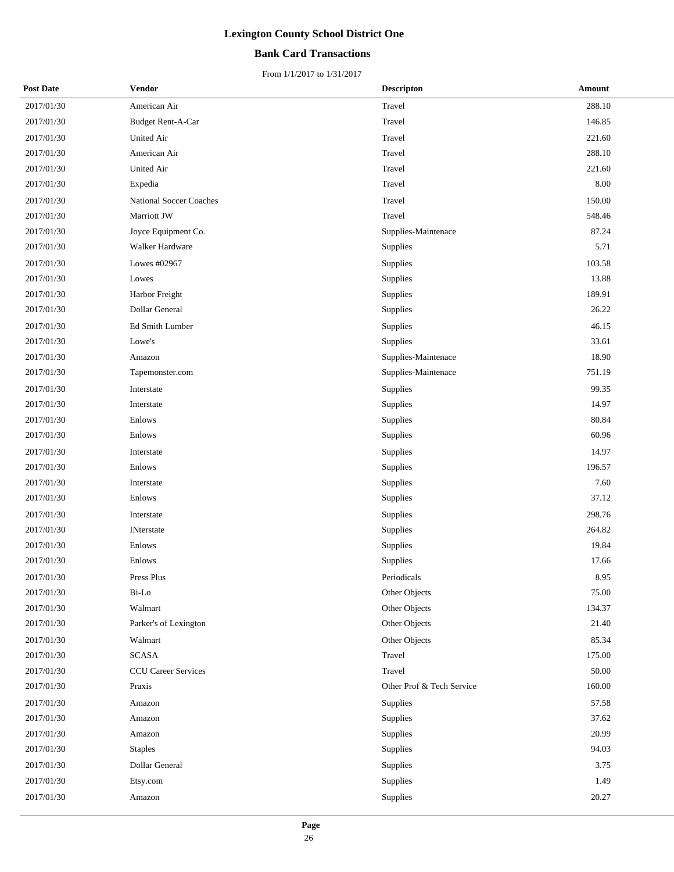## **Bank Card Transactions**

| <b>Post Date</b> | Vendor                         | <b>Descripton</b>         | Amount |
|------------------|--------------------------------|---------------------------|--------|
| 2017/01/30       | American Air                   | Travel                    | 288.10 |
| 2017/01/30       | Budget Rent-A-Car              | Travel                    | 146.85 |
| 2017/01/30       | United Air                     | Travel                    | 221.60 |
| 2017/01/30       | American Air                   | Travel                    | 288.10 |
| 2017/01/30       | United Air                     | Travel                    | 221.60 |
| 2017/01/30       | Expedia                        | Travel                    | 8.00   |
| 2017/01/30       | <b>National Soccer Coaches</b> | Travel                    | 150.00 |
| 2017/01/30       | Marriott JW                    | Travel                    | 548.46 |
| 2017/01/30       | Joyce Equipment Co.            | Supplies-Maintenace       | 87.24  |
| 2017/01/30       | Walker Hardware                | Supplies                  | 5.71   |
| 2017/01/30       | Lowes #02967                   | Supplies                  | 103.58 |
| 2017/01/30       | Lowes                          | Supplies                  | 13.88  |
| 2017/01/30       | Harbor Freight                 | Supplies                  | 189.91 |
| 2017/01/30       | Dollar General                 | Supplies                  | 26.22  |
| 2017/01/30       | Ed Smith Lumber                | Supplies                  | 46.15  |
| 2017/01/30       | Lowe's                         | Supplies                  | 33.61  |
| 2017/01/30       | Amazon                         | Supplies-Maintenace       | 18.90  |
| 2017/01/30       | Tapemonster.com                | Supplies-Maintenace       | 751.19 |
| 2017/01/30       | Interstate                     | Supplies                  | 99.35  |
| 2017/01/30       | Interstate                     | Supplies                  | 14.97  |
| 2017/01/30       | Enlows                         | Supplies                  | 80.84  |
| 2017/01/30       | Enlows                         | Supplies                  | 60.96  |
| 2017/01/30       | Interstate                     | Supplies                  | 14.97  |
| 2017/01/30       | Enlows                         | Supplies                  | 196.57 |
| 2017/01/30       | Interstate                     | Supplies                  | 7.60   |
| 2017/01/30       | Enlows                         | Supplies                  | 37.12  |
| 2017/01/30       | Interstate                     | Supplies                  | 298.76 |
| 2017/01/30       | <b>INterstate</b>              | Supplies                  | 264.82 |
| 2017/01/30       | Enlows                         | Supplies                  | 19.84  |
| 2017/01/30       | Enlows                         | Supplies                  | 17.66  |
| 2017/01/30       | Press Plus                     | Periodicals               | 8.95   |
| 2017/01/30       | Bi-Lo                          | Other Objects             | 75.00  |
| 2017/01/30       | Walmart                        | Other Objects             | 134.37 |
| 2017/01/30       | Parker's of Lexington          | Other Objects             | 21.40  |
| 2017/01/30       | Walmart                        | Other Objects             | 85.34  |
| 2017/01/30       | <b>SCASA</b>                   | Travel                    | 175.00 |
| 2017/01/30       | <b>CCU Career Services</b>     | Travel                    | 50.00  |
| 2017/01/30       | Praxis                         | Other Prof & Tech Service | 160.00 |
| 2017/01/30       | Amazon                         | Supplies                  | 57.58  |
| 2017/01/30       | Amazon                         | Supplies                  | 37.62  |
| 2017/01/30       | Amazon                         | Supplies                  | 20.99  |
| 2017/01/30       | <b>Staples</b>                 | Supplies                  | 94.03  |
| 2017/01/30       | Dollar General                 | Supplies                  | 3.75   |
| 2017/01/30       | Etsy.com                       | Supplies                  | 1.49   |
| 2017/01/30       | Amazon                         | Supplies                  | 20.27  |
|                  |                                |                           |        |